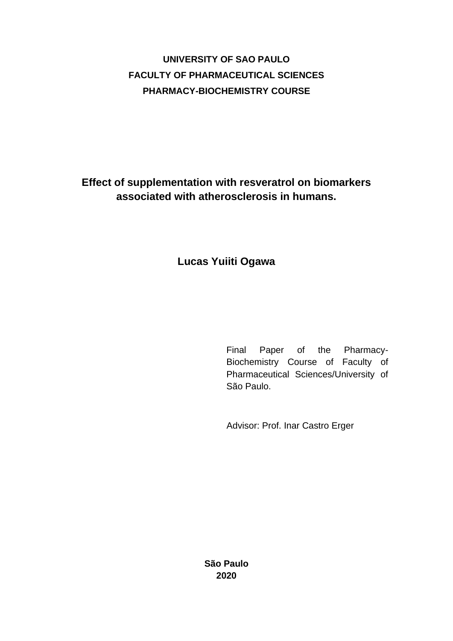# **UNIVERSITY OF SAO PAULO FACULTY OF PHARMACEUTICAL SCIENCES PHARMACY-BIOCHEMISTRY COURSE**

**Effect of supplementation with resveratrol on biomarkers associated with atherosclerosis in humans.**

## **Lucas Yuiiti Ogawa**

Final Paper of the Pharmacy-Biochemistry Course of Faculty of Pharmaceutical Sciences/University of São Paulo.

Advisor: Prof. Inar Castro Erger

**São Paulo 2020**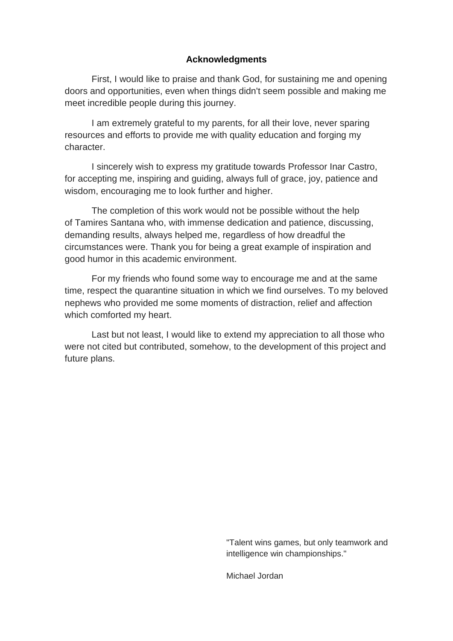## **Acknowledgments**

First, I would like to praise and thank God, for sustaining me and opening doors and opportunities, even when things didn't seem possible and making me meet incredible people during this journey.

I am extremely grateful to my parents, for all their love, never sparing resources and efforts to provide me with quality education and forging my character.

I sincerely wish to express my gratitude towards Professor Inar Castro, for accepting me, inspiring and guiding, always full of grace, joy, patience and wisdom, encouraging me to look further and higher.

The completion of this work would not be possible without the help of Tamires Santana who, with immense dedication and patience, discussing, demanding results, always helped me, regardless of how dreadful the circumstances were. Thank you for being a great example of inspiration and good humor in this academic environment.

For my friends who found some way to encourage me and at the same time, respect the quarantine situation in which we find ourselves. To my beloved nephews who provided me some moments of distraction, relief and affection which comforted my heart.

Last but not least, I would like to extend my appreciation to all those who were not cited but contributed, somehow, to the development of this project and future plans.

> "Talent wins games, but only teamwork and intelligence win championships."

Michael Jordan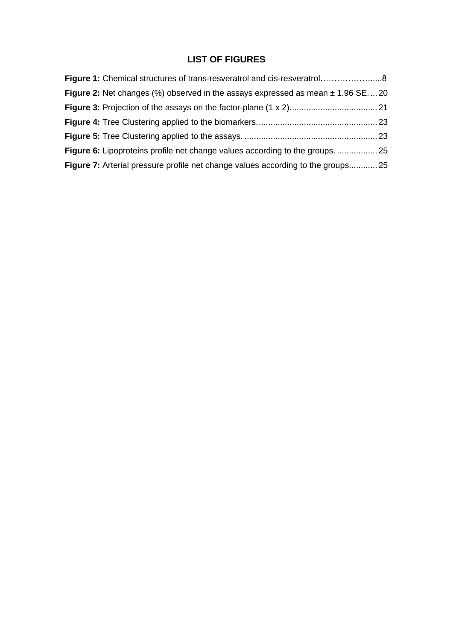## **LIST OF FIGURES**

| Figure 1: Chemical structures of trans-resveratrol and cis-resveratrol8                   |  |
|-------------------------------------------------------------------------------------------|--|
| <b>Figure 2:</b> Net changes (%) observed in the assays expressed as mean $\pm$ 1.96 SE20 |  |
|                                                                                           |  |
|                                                                                           |  |
|                                                                                           |  |
|                                                                                           |  |
| Figure 7: Arterial pressure profile net change values according to the groups 25          |  |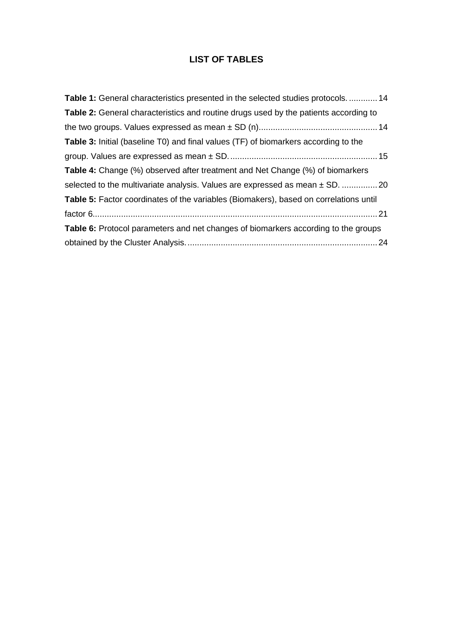## **LIST OF TABLES**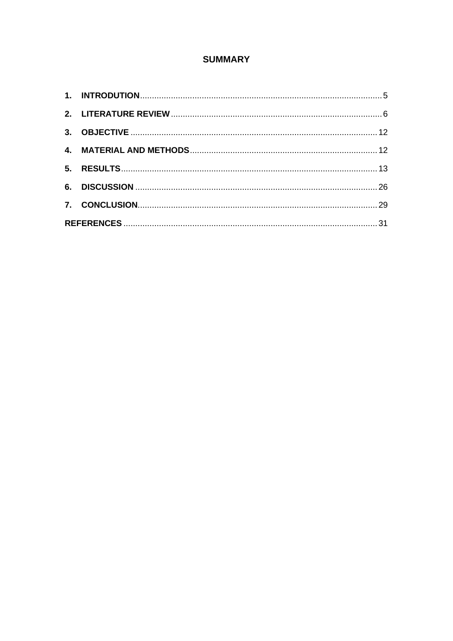## **SUMMARY**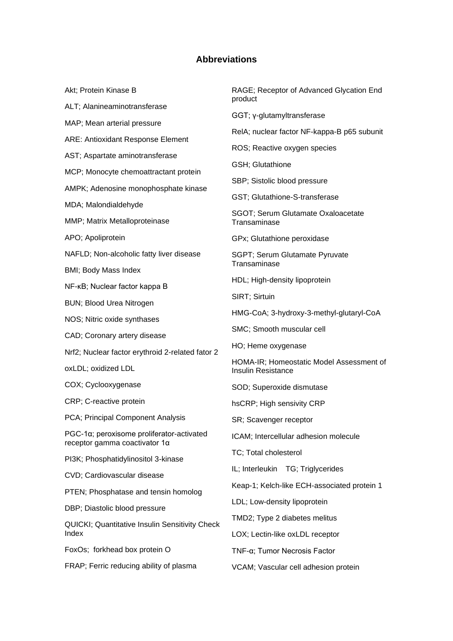#### **Abbreviations**

Akt; Protein Kinase B ALT; Alanineaminotransferase MAP; Mean arterial pressure ARE: Antioxidant Response Element AST; Aspartate aminotransferase MCP; Monocyte chemoattractant protein AMPK; Adenosine monophosphate kinase MDA; Malondialdehyde MMP; Matrix Metalloproteinase APO; Apoliprotein NAFLD; Non-alcoholic fatty liver disease BMI; Body Mass Index NF-κB; Nuclear factor kappa B BUN; Blood Urea Nitrogen NOS; Nitric oxide synthases CAD; Coronary artery disease Nrf2; Nuclear factor erythroid 2-related fator 2 oxLDL; oxidized LDL COX; Cyclooxygenase CRP; C-reactive protein PCA; Principal Component Analysis PGC-1α; peroxisome proliferator-activated receptor gamma coactivator 1α PI3K; Phosphatidylinositol 3-kinase CVD; Cardiovascular disease PTEN; Phosphatase and tensin homolog DBP; Diastolic blood pressure QUICKI; Quantitative Insulin Sensitivity Check Index FoxOs; forkhead box protein O FRAP; Ferric reducing ability of plasma RAGE; Receptor of Advanced Glycation End product GGT; γ-glutamyltransferase RelA; nuclear factor NF-kappa-B p65 subunit ROS; Reactive oxygen species GSH; Glutathione SBP; Sistolic blood pressure GST; Glutathione-S-transferase SGOT; Serum Glutamate Oxaloacetate Transaminase GPx; Glutathione peroxidase SGPT; Serum Glutamate Pyruvate **Transaminase** HDL: High-density lipoprotein SIRT; Sirtuin HMG-CoA; 3-hydroxy-3-methyl-glutaryl-CoA SMC; Smooth muscular cell HO; Heme oxygenase HOMA-IR; Homeostatic Model Assessment of Insulin Resistance SOD; Superoxide dismutase hsCRP; High sensivity CRP SR; Scavenger receptor ICAM; Intercellular adhesion molecule TC; Total cholesterol IL; Interleukin TG; Triglycerides Keap-1; Kelch-like ECH-associated protein 1 LDL; Low-density lipoprotein TMD2; Type 2 diabetes melitus LOX; Lectin-like oxLDL receptor TNF-α; Tumor Necrosis Factor VCAM; Vascular cell adhesion protein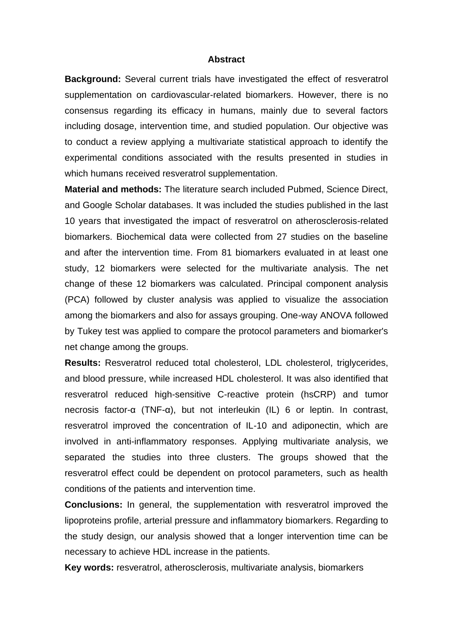#### **Abstract**

**Background:** Several current trials have investigated the effect of resveratrol supplementation on cardiovascular-related biomarkers. However, there is no consensus regarding its efficacy in humans, mainly due to several factors including dosage, intervention time, and studied population. Our objective was to conduct a review applying a multivariate statistical approach to identify the experimental conditions associated with the results presented in studies in which humans received resveratrol supplementation.

**Material and methods:** The literature search included Pubmed, Science Direct, and Google Scholar databases. It was included the studies published in the last 10 years that investigated the impact of resveratrol on atherosclerosis-related biomarkers. Biochemical data were collected from 27 studies on the baseline and after the intervention time. From 81 biomarkers evaluated in at least one study, 12 biomarkers were selected for the multivariate analysis. The net change of these 12 biomarkers was calculated. Principal component analysis (PCA) followed by cluster analysis was applied to visualize the association among the biomarkers and also for assays grouping. One-way ANOVA followed by Tukey test was applied to compare the protocol parameters and biomarker's net change among the groups.

**Results:** Resveratrol reduced total cholesterol, LDL cholesterol, triglycerides, and blood pressure, while increased HDL cholesterol. It was also identified that resveratrol reduced high-sensitive C-reactive protein (hsCRP) and tumor necrosis factor-α (TNF-α), but not interleukin (IL) 6 or leptin. In contrast, resveratrol improved the concentration of IL-10 and adiponectin, which are involved in anti-inflammatory responses. Applying multivariate analysis, we separated the studies into three clusters. The groups showed that the resveratrol effect could be dependent on protocol parameters, such as health conditions of the patients and intervention time.

**Conclusions:** In general, the supplementation with resveratrol improved the lipoproteins profile, arterial pressure and inflammatory biomarkers. Regarding to the study design, our analysis showed that a longer intervention time can be necessary to achieve HDL increase in the patients.

**Key words:** resveratrol, atherosclerosis, multivariate analysis, biomarkers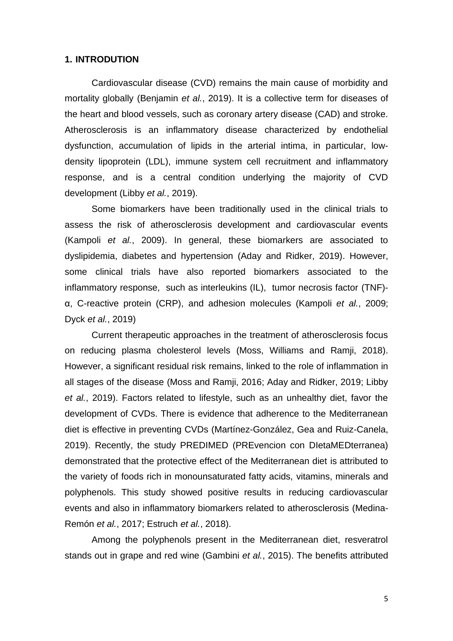#### <span id="page-7-0"></span>**1. INTRODUTION**

Cardiovascular disease (CVD) remains the main cause of morbidity and mortality globally (Benjamin *et al.*, 2019). It is a collective term for diseases of the heart and blood vessels, such as coronary artery disease (CAD) and stroke. Atherosclerosis is an inflammatory disease characterized by endothelial dysfunction, accumulation of lipids in the arterial intima, in particular, lowdensity lipoprotein (LDL), immune system cell recruitment and inflammatory response, and is a central condition underlying the majority of CVD development (Libby *et al.*, 2019).

Some biomarkers have been traditionally used in the clinical trials to assess the risk of atherosclerosis development and cardiovascular events (Kampoli *et al.*, 2009). In general, these biomarkers are associated to dyslipidemia, diabetes and hypertension (Aday and Ridker, 2019). However, some clinical trials have also reported biomarkers associated to the inflammatory response, such as interleukins (IL), tumor necrosis factor (TNF) α, C-reactive protein (CRP), and adhesion molecules (Kampoli *et al.*, 2009; Dyck *et al.*, 2019)

Current therapeutic approaches in the treatment of atherosclerosis focus on reducing plasma cholesterol levels (Moss, Williams and Ramji, 2018). However, a significant residual risk remains, linked to the role of inflammation in all stages of the disease (Moss and Ramji, 2016; Aday and Ridker, 2019; Libby *et al.*, 2019). Factors related to lifestyle, such as an unhealthy diet, favor the development of CVDs. There is evidence that adherence to the Mediterranean diet is effective in preventing CVDs (Martínez-González, Gea and Ruiz-Canela, 2019). Recently, the study PREDIMED (PREvencion con DIetaMEDterranea) demonstrated that the protective effect of the Mediterranean diet is attributed to the variety of foods rich in monounsaturated fatty acids, vitamins, minerals and polyphenols. This study showed positive results in reducing cardiovascular events and also in inflammatory biomarkers related to atherosclerosis (Medina-Remón *et al.*, 2017; Estruch *et al.*, 2018).

Among the polyphenols present in the Mediterranean diet, resveratrol stands out in grape and red wine (Gambini *et al.*, 2015). The benefits attributed

5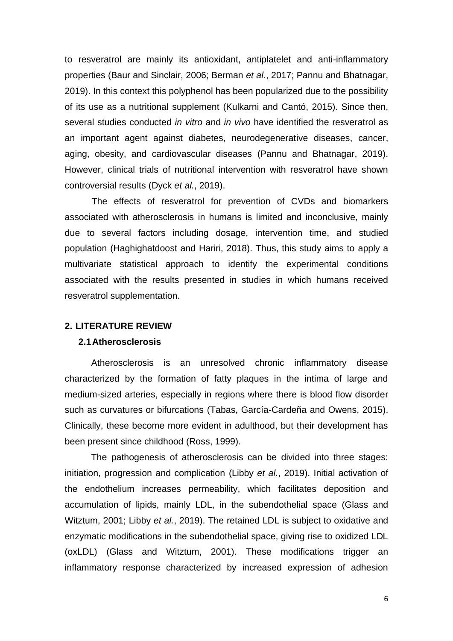to resveratrol are mainly its antioxidant, antiplatelet and anti-inflammatory properties (Baur and Sinclair, 2006; Berman *et al.*, 2017; Pannu and Bhatnagar, 2019). In this context this polyphenol has been popularized due to the possibility of its use as a nutritional supplement (Kulkarni and Cantó, 2015). Since then, several studies conducted *in vitro* and *in vivo* have identified the resveratrol as an important agent against diabetes, neurodegenerative diseases, cancer, aging, obesity, and cardiovascular diseases (Pannu and Bhatnagar, 2019). However, clinical trials of nutritional intervention with resveratrol have shown controversial results (Dyck *et al.*, 2019).

The effects of resveratrol for prevention of CVDs and biomarkers associated with atherosclerosis in humans is limited and inconclusive, mainly due to several factors including dosage, intervention time, and studied population (Haghighatdoost and Hariri, 2018). Thus, this study aims to apply a multivariate statistical approach to identify the experimental conditions associated with the results presented in studies in which humans received resveratrol supplementation.

#### <span id="page-8-0"></span>**2. LITERATURE REVIEW**

#### **2.1Atherosclerosis**

Atherosclerosis is an unresolved chronic inflammatory disease characterized by the formation of fatty plaques in the intima of large and medium-sized arteries, especially in regions where there is blood flow disorder such as curvatures or bifurcations (Tabas, García-Cardeña and Owens, 2015). Clinically, these become more evident in adulthood, but their development has been present since childhood (Ross, 1999).

The pathogenesis of atherosclerosis can be divided into three stages: initiation, progression and complication (Libby *et al.*, 2019). Initial activation of the endothelium increases permeability, which facilitates deposition and accumulation of lipids, mainly LDL, in the subendothelial space (Glass and Witztum, 2001; Libby *et al.*, 2019). The retained LDL is subject to oxidative and enzymatic modifications in the subendothelial space, giving rise to oxidized LDL (oxLDL) (Glass and Witztum, 2001). These modifications trigger an inflammatory response characterized by increased expression of adhesion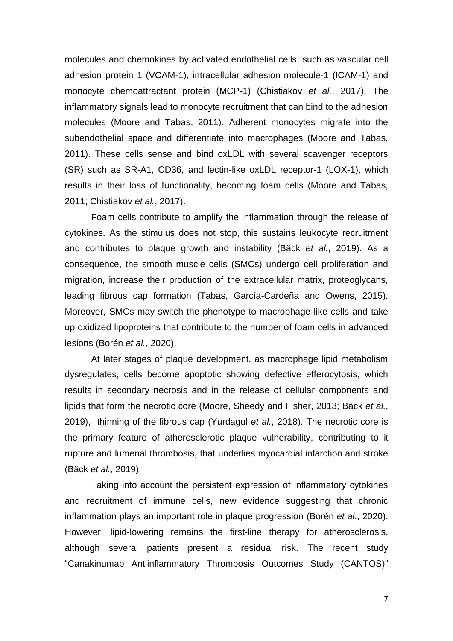molecules and chemokines by activated endothelial cells, such as vascular cell adhesion protein 1 (VCAM-1), intracellular adhesion molecule-1 (ICAM-1) and monocyte chemoattractant protein (MCP-1) (Chistiakov *et al.*, 2017). The inflammatory signals lead to monocyte recruitment that can bind to the adhesion molecules (Moore and Tabas, 2011). Adherent monocytes migrate into the subendothelial space and differentiate into macrophages (Moore and Tabas, 2011). These cells sense and bind oxLDL with several scavenger receptors (SR) such as SR-A1, CD36, and lectin-like oxLDL receptor-1 (LOX-1), which results in their loss of functionality, becoming foam cells (Moore and Tabas, 2011; Chistiakov *et al.*, 2017).

Foam cells contribute to amplify the inflammation through the release of cytokines. As the stimulus does not stop, this sustains leukocyte recruitment and contributes to plaque growth and instability (Bäck *et al.*, 2019). As a consequence, the smooth muscle cells (SMCs) undergo cell proliferation and migration, increase their production of the extracellular matrix, proteoglycans, leading fibrous cap formation (Tabas, García-Cardeña and Owens, 2015). Moreover, SMCs may switch the phenotype to macrophage-like cells and take up oxidized lipoproteins that contribute to the number of foam cells in advanced lesions (Borén *et al.*, 2020).

At later stages of plaque development, as macrophage lipid metabolism dysregulates, cells become apoptotic showing defective efferocytosis, which results in secondary necrosis and in the release of cellular components and lipids that form the necrotic core (Moore, Sheedy and Fisher, 2013; Bäck *et al.*, 2019), thinning of the fibrous cap (Yurdagul *et al.*, 2018). The necrotic core is the primary feature of atherosclerotic plaque vulnerability, contributing to it rupture and lumenal thrombosis, that underlies myocardial infarction and stroke (Bäck *et al.*, 2019).

Taking into account the persistent expression of inflammatory cytokines and recruitment of immune cells, new evidence suggesting that chronic inflammation plays an important role in plaque progression (Borén *et al.*, 2020). However, lipid-lowering remains the first-line therapy for atherosclerosis, although several patients present a residual risk. The recent study "Canakinumab Antiinflammatory Thrombosis Outcomes Study (CANTOS)"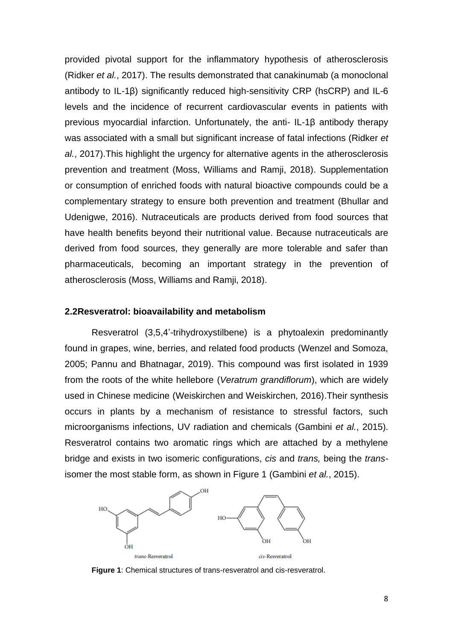provided pivotal support for the inflammatory hypothesis of atherosclerosis (Ridker *et al.*, 2017). The results demonstrated that canakinumab (a monoclonal antibody to IL-1β) significantly reduced high-sensitivity CRP (hsCRP) and IL-6 levels and the incidence of recurrent cardiovascular events in patients with previous myocardial infarction. Unfortunately, the anti- IL-1β antibody therapy was associated with a small but significant increase of fatal infections (Ridker *et al.*, 2017).This highlight the urgency for alternative agents in the atherosclerosis prevention and treatment (Moss, Williams and Ramji, 2018). Supplementation or consumption of enriched foods with natural bioactive compounds could be a complementary strategy to ensure both prevention and treatment (Bhullar and Udenigwe, 2016). Nutraceuticals are products derived from food sources that have health benefits beyond their nutritional value. Because nutraceuticals are derived from food sources, they generally are more tolerable and safer than pharmaceuticals, becoming an important strategy in the prevention of atherosclerosis (Moss, Williams and Ramji, 2018).

#### **2.2Resveratrol: bioavailability and metabolism**

Resveratrol (3,5,4'-trihydroxystilbene) is a phytoalexin predominantly found in grapes, wine, berries, and related food products (Wenzel and Somoza, 2005; Pannu and Bhatnagar, 2019). This compound was first isolated in 1939 from the roots of the white hellebore (*Veratrum grandiflorum*), which are widely used in Chinese medicine (Weiskirchen and Weiskirchen, 2016).Their synthesis occurs in plants by a mechanism of resistance to stressful factors, such microorganisms infections, UV radiation and chemicals (Gambini *et al.*, 2015). Resveratrol contains two aromatic rings which are attached by a methylene bridge and exists in two isomeric configurations, *cis* and *trans,* being the *trans*isomer the most stable form, as shown in Figure 1 (Gambini *et al.*, 2015).



**Figure 1**: Chemical structures of trans-resveratrol and cis-resveratrol.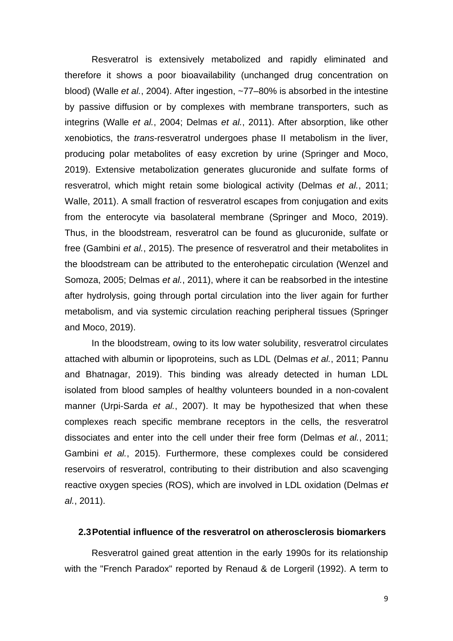Resveratrol is extensively metabolized and rapidly eliminated and therefore it shows a poor bioavailability (unchanged drug concentration on blood) (Walle *et al.*, 2004). After ingestion, ~77–80% is absorbed in the intestine by passive diffusion or by complexes with membrane transporters, such as integrins (Walle *et al.*, 2004; Delmas *et al.*, 2011). After absorption, like other xenobiotics, the *trans*-resveratrol undergoes phase II metabolism in the liver, producing polar metabolites of easy excretion by urine (Springer and Moco, 2019). Extensive metabolization generates glucuronide and sulfate forms of resveratrol, which might retain some biological activity (Delmas *et al.*, 2011; Walle, 2011). A small fraction of resveratrol escapes from conjugation and exits from the enterocyte via basolateral membrane (Springer and Moco, 2019). Thus, in the bloodstream, resveratrol can be found as glucuronide, sulfate or free (Gambini *et al.*, 2015). The presence of resveratrol and their metabolites in the bloodstream can be attributed to the enterohepatic circulation (Wenzel and Somoza, 2005; Delmas *et al.*, 2011), where it can be reabsorbed in the intestine after hydrolysis, going through portal circulation into the liver again for further metabolism, and via systemic circulation reaching peripheral tissues (Springer and Moco, 2019).

In the bloodstream, owing to its low water solubility, resveratrol circulates attached with albumin or lipoproteins, such as LDL (Delmas *et al.*, 2011; Pannu and Bhatnagar, 2019). This binding was already detected in human LDL isolated from blood samples of healthy volunteers bounded in a non-covalent manner (Urpi-Sarda *et al.*, 2007). It may be hypothesized that when these complexes reach specific membrane receptors in the cells, the resveratrol dissociates and enter into the cell under their free form (Delmas *et al.*, 2011; Gambini *et al.*, 2015). Furthermore, these complexes could be considered reservoirs of resveratrol, contributing to their distribution and also scavenging reactive oxygen species (ROS), which are involved in LDL oxidation (Delmas *et al.*, 2011).

#### **2.3Potential influence of the resveratrol on atherosclerosis biomarkers**

Resveratrol gained great attention in the early 1990s for its relationship with the "French Paradox" reported by Renaud & de Lorgeril (1992). A term to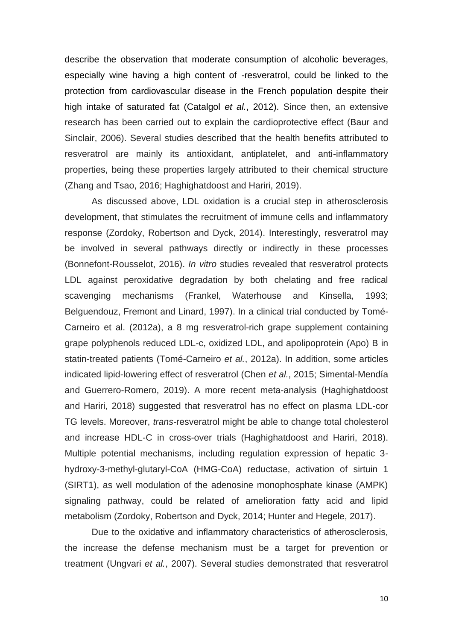describe the observation that moderate consumption of alcoholic beverages, especially wine having a high content of *-*resveratrol, could be linked to the protection from cardiovascular disease in the French population despite their high intake of saturated fat (Catalgol *et al.*, 2012). Since then, an extensive research has been carried out to explain the cardioprotective effect (Baur and Sinclair, 2006). Several studies described that the health benefits attributed to resveratrol are mainly its antioxidant, antiplatelet, and anti-inflammatory properties, being these properties largely attributed to their chemical structure (Zhang and Tsao, 2016; Haghighatdoost and Hariri, 2019).

As discussed above, LDL oxidation is a crucial step in atherosclerosis development, that stimulates the recruitment of immune cells and inflammatory response (Zordoky, Robertson and Dyck, 2014). Interestingly, resveratrol may be involved in several pathways directly or indirectly in these processes (Bonnefont-Rousselot, 2016). *In vitro* studies revealed that resveratrol protects LDL against peroxidative degradation by both chelating and free radical scavenging mechanisms (Frankel, Waterhouse and Kinsella, 1993; Belguendouz, Fremont and Linard, 1997). In a clinical trial conducted by Tomé-Carneiro et al. (2012a), a 8 mg resveratrol-rich grape supplement containing grape polyphenols reduced LDL-c, oxidized LDL, and apolipoprotein (Apo) B in statin-treated patients (Tomé-Carneiro *et al.*, 2012a). In addition, some articles indicated lipid-lowering effect of resveratrol (Chen *et al.*, 2015; Simental-Mendía and Guerrero-Romero, 2019). A more recent meta-analysis (Haghighatdoost and Hariri, 2018) suggested that resveratrol has no effect on plasma LDL-cor TG levels. Moreover, *trans-*resveratrol might be able to change total cholesterol and increase HDL-C in cross-over trials (Haghighatdoost and Hariri, 2018). Multiple potential mechanisms, including regulation expression of hepatic 3 hydroxy-3-methyl-glutaryl-CoA (HMG-CoA) reductase, activation of sirtuin 1 (SIRT1), as well modulation of the adenosine monophosphate kinase (AMPK) signaling pathway, could be related of amelioration fatty acid and lipid metabolism (Zordoky, Robertson and Dyck, 2014; Hunter and Hegele, 2017).

Due to the oxidative and inflammatory characteristics of atherosclerosis, the increase the defense mechanism must be a target for prevention or treatment (Ungvari *et al.*, 2007). Several studies demonstrated that resveratrol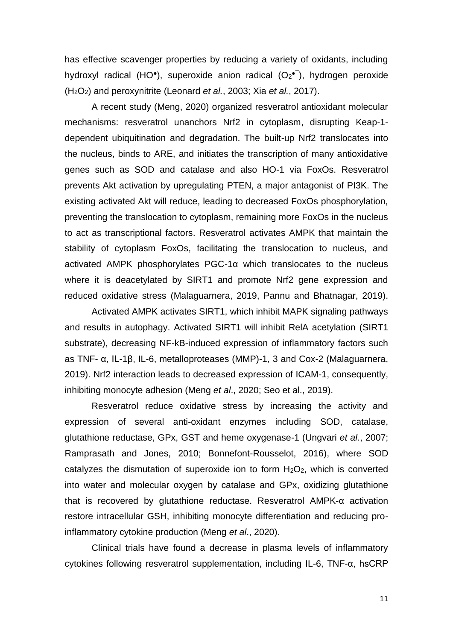has effective scavenger properties by reducing a variety of oxidants, including hydroxyl radical (HO<sup>•</sup>), superoxide anion radical (O<sub>2</sub><sup>•)</sup>, hydrogen peroxide (H2O2) and peroxynitrite (Leonard *et al.*, 2003; Xia *et al.*, 2017).

A recent study (Meng, 2020) organized resveratrol antioxidant molecular mechanisms: resveratrol unanchors Nrf2 in cytoplasm, disrupting Keap-1 dependent ubiquitination and degradation. The built-up Nrf2 translocates into the nucleus, binds to ARE, and initiates the transcription of many antioxidative genes such as SOD and catalase and also HO-1 via FoxOs. Resveratrol prevents Akt activation by upregulating PTEN, a major antagonist of PI3K. The existing activated Akt will reduce, leading to decreased FoxOs phosphorylation, preventing the translocation to cytoplasm, remaining more FoxOs in the nucleus to act as transcriptional factors. Resveratrol activates AMPK that maintain the stability of cytoplasm FoxOs, facilitating the translocation to nucleus, and activated AMPK phosphorylates PGC-1α which translocates to the nucleus where it is deacetylated by SIRT1 and promote Nrf2 gene expression and reduced oxidative stress (Malaguarnera, 2019, Pannu and Bhatnagar, 2019).

Activated AMPK activates SIRT1, which inhibit MAPK signaling pathways and results in autophagy. Activated SIRT1 will inhibit RelA acetylation (SIRT1 substrate), decreasing NF-kB-induced expression of inflammatory factors such as TNF- α, IL-1β, IL-6, metalloproteases (MMP)-1, 3 and Cox-2 (Malaguarnera, 2019). Nrf2 interaction leads to decreased expression of ICAM-1, consequently, inhibiting monocyte adhesion (Meng *et al*., 2020; Seo et al., 2019).

Resveratrol reduce oxidative stress by increasing the activity and expression of several anti-oxidant enzymes including SOD, catalase, glutathione reductase, GPx, GST and heme oxygenase-1 (Ungvari *et al.*, 2007; Ramprasath and Jones, 2010; Bonnefont-Rousselot, 2016), where SOD catalyzes the dismutation of superoxide ion to form  $H_2O_2$ , which is converted into water and molecular oxygen by catalase and GPx, oxidizing glutathione that is recovered by glutathione reductase. Resveratrol AMPK-α activation restore intracellular GSH, inhibiting monocyte differentiation and reducing proinflammatory cytokine production (Meng *et al*., 2020).

Clinical trials have found a decrease in plasma levels of inflammatory cytokines following resveratrol supplementation, including IL-6, TNF-α, hsCRP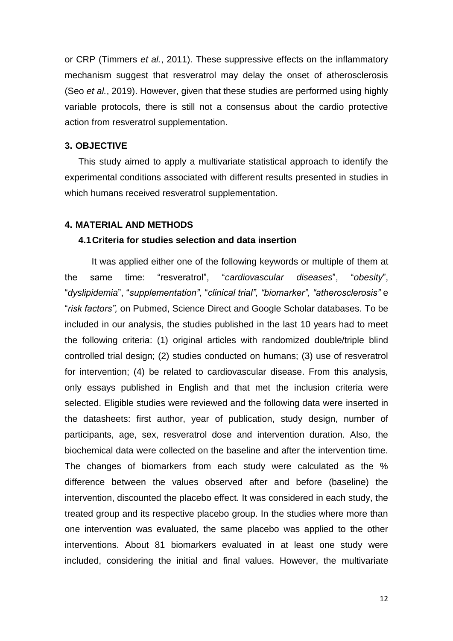or CRP (Timmers *et al.*, 2011). These suppressive effects on the inflammatory mechanism suggest that resveratrol may delay the onset of atherosclerosis (Seo *et al.*, 2019). However, given that these studies are performed using highly variable protocols, there is still not a consensus about the cardio protective action from resveratrol supplementation.

#### <span id="page-14-0"></span>**3. OBJECTIVE**

This study aimed to apply a multivariate statistical approach to identify the experimental conditions associated with different results presented in studies in which humans received resveratrol supplementation.

#### <span id="page-14-1"></span>**4. MATERIAL AND METHODS**

#### **4.1Criteria for studies selection and data insertion**

It was applied either one of the following keywords or multiple of them at the same time: "resveratrol", "*cardiovascular diseases*", "*obesity*", "*dyslipidemia*", "*supplementation"*, "*clinical trial", "biomarker", "atherosclerosis"* e "*risk factors",* on Pubmed, Science Direct and Google Scholar databases. To be included in our analysis, the studies published in the last 10 years had to meet the following criteria: (1) original articles with randomized double/triple blind controlled trial design; (2) studies conducted on humans; (3) use of resveratrol for intervention; (4) be related to cardiovascular disease. From this analysis, only essays published in English and that met the inclusion criteria were selected. Eligible studies were reviewed and the following data were inserted in the datasheets: first author, year of publication, study design, number of participants, age, sex, resveratrol dose and intervention duration. Also, the biochemical data were collected on the baseline and after the intervention time. The changes of biomarkers from each study were calculated as the % difference between the values observed after and before (baseline) the intervention, discounted the placebo effect. It was considered in each study, the treated group and its respective placebo group. In the studies where more than one intervention was evaluated, the same placebo was applied to the other interventions. About 81 biomarkers evaluated in at least one study were included, considering the initial and final values. However, the multivariate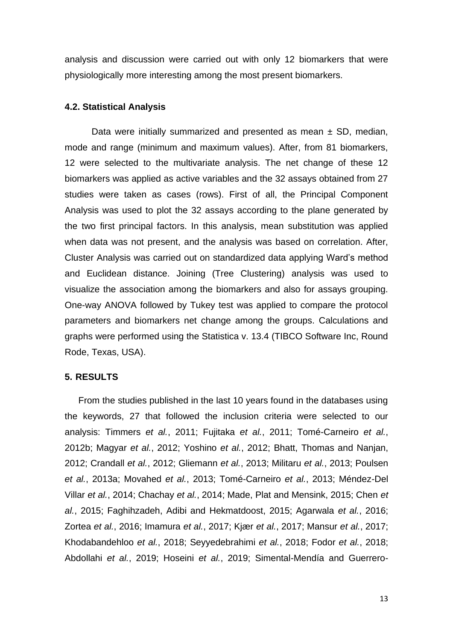analysis and discussion were carried out with only 12 biomarkers that were physiologically more interesting among the most present biomarkers.

#### **4.2. Statistical Analysis**

Data were initially summarized and presented as mean  $\pm$  SD, median, mode and range (minimum and maximum values). After, from 81 biomarkers, 12 were selected to the multivariate analysis. The net change of these 12 biomarkers was applied as active variables and the 32 assays obtained from 27 studies were taken as cases (rows). First of all, the Principal Component Analysis was used to plot the 32 assays according to the plane generated by the two first principal factors. In this analysis, mean substitution was applied when data was not present, and the analysis was based on correlation. After, Cluster Analysis was carried out on standardized data applying Ward's method and Euclidean distance. Joining (Tree Clustering) analysis was used to visualize the association among the biomarkers and also for assays grouping. One-way ANOVA followed by Tukey test was applied to compare the protocol parameters and biomarkers net change among the groups. Calculations and graphs were performed using the Statistica v. 13.4 (TIBCO Software Inc, Round Rode, Texas, USA).

#### <span id="page-15-0"></span>**5. RESULTS**

From the studies published in the last 10 years found in the databases using the keywords, 27 that followed the inclusion criteria were selected to our analysis: Timmers *et al.*, 2011; Fujitaka *et al.*, 2011; Tomé-Carneiro *et al.*, 2012b; Magyar *et al.*, 2012; Yoshino *et al.*, 2012; Bhatt, Thomas and Nanjan, 2012; Crandall *et al.*, 2012; Gliemann *et al.*, 2013; Militaru *et al.*, 2013; Poulsen *et al.*, 2013a; Movahed *et al.*, 2013; Tomé-Carneiro *et al.*, 2013; Méndez-Del Villar *et al.*, 2014; Chachay *et al.*, 2014; Made, Plat and Mensink, 2015; Chen *et al.*, 2015; Faghihzadeh, Adibi and Hekmatdoost, 2015; Agarwala *et al.*, 2016; Zortea *et al.*, 2016; Imamura *et al.*, 2017; Kjær *et al.*, 2017; Mansur *et al.*, 2017; Khodabandehloo *et al.*, 2018; Seyyedebrahimi *et al.*, 2018; Fodor *et al.*, 2018; Abdollahi *et al.*, 2019; Hoseini *et al.*, 2019; Simental-Mendía and Guerrero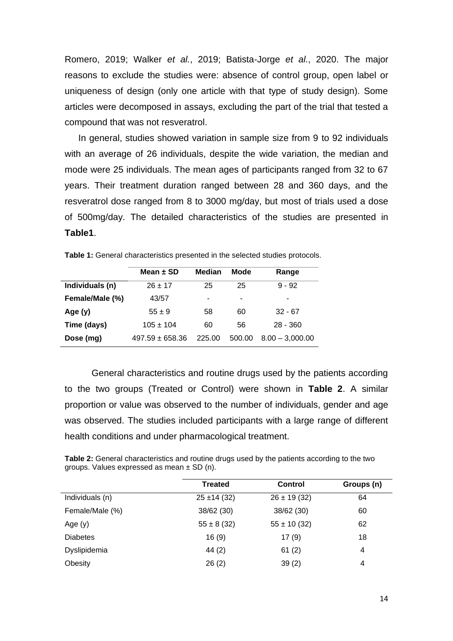Romero, 2019; Walker *et al.*, 2019; Batista-Jorge *et al.*, 2020. The major reasons to exclude the studies were: absence of control group, open label or uniqueness of design (only one article with that type of study design). Some articles were decomposed in assays, excluding the part of the trial that tested a compound that was not resveratrol.

In general, studies showed variation in sample size from 9 to 92 individuals with an average of 26 individuals, despite the wide variation, the median and mode were 25 individuals. The mean ages of participants ranged from 32 to 67 years. Their treatment duration ranged between 28 and 360 days, and the resveratrol dose ranged from 8 to 3000 mg/day, but most of trials used a dose of 500mg/day. The detailed characteristics of the studies are presented in **Table1**.

|                 | Mean $\pm$ SD       | <b>Median</b> | Mode   | Range             |
|-----------------|---------------------|---------------|--------|-------------------|
| Individuals (n) | $26 + 17$           | 25            | 25     | $9 - 92$          |
| Female/Male (%) | 43/57               | ٠             | ٠      |                   |
| Age $(y)$       | $55 \pm 9$          | 58            | 60     | $32 - 67$         |
| Time (days)     | $105 \pm 104$       | 60            | 56     | $28 - 360$        |
| Dose (mg)       | $497.59 \pm 658.36$ | 225.00        | 500.00 | $8.00 - 3.000.00$ |

<span id="page-16-0"></span>**Table 1:** General characteristics presented in the selected studies protocols.

General characteristics and routine drugs used by the patients according to the two groups (Treated or Control) were shown in **Table 2**. A similar proportion or value was observed to the number of individuals, gender and age was observed. The studies included participants with a large range of different health conditions and under pharmacological treatment.

<span id="page-16-1"></span>

|  | Table 2: General characteristics and routine drugs used by the patients according to the two |  |  |  |
|--|----------------------------------------------------------------------------------------------|--|--|--|
|  | groups. Values expressed as mean $\pm$ SD (n).                                               |  |  |  |

|                 | <b>Treated</b>   | <b>Control</b>   | Groups (n) |
|-----------------|------------------|------------------|------------|
| Individuals (n) | $25 \pm 14 (32)$ | $26 \pm 19$ (32) | 64         |
| Female/Male (%) | 38/62 (30)       | 38/62 (30)       | 60         |
| Age $(y)$       | $55 \pm 8 (32)$  | $55 \pm 10 (32)$ | 62         |
| <b>Diabetes</b> | 16(9)            | 17(9)            | 18         |
| Dyslipidemia    | 44(2)            | 61(2)            | 4          |
| Obesity         | 26(2)            | 39(2)            | 4          |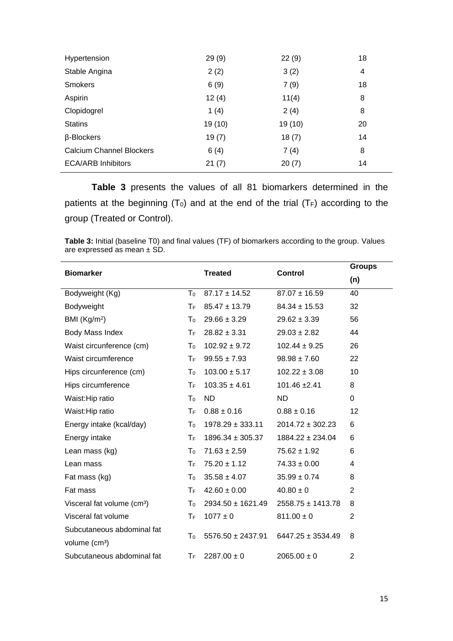| Hypertension                    | 29(9)   | 22(9)   | 18 |
|---------------------------------|---------|---------|----|
| Stable Angina                   | 2(2)    | 3(2)    | 4  |
| <b>Smokers</b>                  | 6(9)    | 7(9)    | 18 |
| Aspirin                         | 12(4)   | 11(4)   | 8  |
| Clopidogrel                     | 1(4)    | 2(4)    | 8  |
| <b>Statins</b>                  | 19 (10) | 19 (10) | 20 |
| β-Blockers                      | 19(7)   | 18(7)   | 14 |
| <b>Calcium Channel Blockers</b> | 6(4)    | 7(4)    | 8  |
| <b>ECA/ARB Inhibitors</b>       | 21(7)   | 20(7)   | 14 |

**Table 3** presents the values of all 81 biomarkers determined in the patients at the beginning  $(T_0)$  and at the end of the trial  $(T_F)$  according to the group (Treated or Control).

<span id="page-17-0"></span>**Table 3:** Initial (baseline T0) and final values (TF) of biomarkers according to the group. Values are expressed as mean ± SD.

| <b>Biomarker</b>                       |                           | <b>Treated</b>        | <b>Control</b>        | <b>Groups</b> |
|----------------------------------------|---------------------------|-----------------------|-----------------------|---------------|
|                                        |                           |                       |                       | (n)           |
| Bodyweight (Kg)                        | T <sub>0</sub>            | $87.17 \pm 14.52$     | $87.07 \pm 16.59$     | 40            |
| Bodyweight                             | ТF                        | $85.47 \pm 13.79$     | $84.34 \pm 15.53$     | 32            |
| BMI $(Kg/m2)$                          | T <sub>0</sub>            | $29.66 \pm 3.29$      | $29.62 \pm 3.39$      | 56            |
| Body Mass Index                        | ТF                        | $28.82 \pm 3.31$      | $29.03 \pm 2.82$      | 44            |
| Waist circunference (cm)               | T <sub>0</sub>            | $102.92 \pm 9.72$     | $102.44 \pm 9.25$     | 26            |
| Waist circumference                    | $\mathsf{T}_{\mathsf{F}}$ | $99.55 \pm 7.93$      | $98.98 \pm 7.60$      | 22            |
| Hips circunference (cm)                | T <sub>0</sub>            | $103.00 \pm 5.17$     | $102.22 \pm 3.08$     | 10            |
| Hips circumference                     | $T_F$                     | $103.35 \pm 4.61$     | 101.46 ±2.41          | 8             |
| Waist: Hip ratio                       | T <sub>0</sub>            | <b>ND</b>             | <b>ND</b>             | 0             |
| Waist: Hip ratio                       | $T_F$                     | $0.88 \pm 0.16$       | $0.88 \pm 0.16$       | 12            |
| Energy intake (kcal/day)               | T <sub>0</sub>            | $1978.29 \pm 333.11$  | $2014.72 \pm 302.23$  | 6             |
| Energy intake                          | $T_F$                     | $1896.34 \pm 305.37$  | $1884.22 \pm 234.04$  | 6             |
| Lean mass (kg)                         | T <sub>0</sub>            | $71.63 \pm 2.59$      | $75.62 \pm 1.92$      | 6             |
| Lean mass                              | $T_F$                     | $75.20 \pm 1.12$      | $74.33 \pm 0.00$      | 4             |
| Fat mass (kg)                          | T <sub>0</sub>            | $35.58 \pm 4.07$      | $35.99 \pm 0.74$      | 8             |
| Fat mass                               | ТF                        | $42.60 \pm 0.00$      | $40.80 \pm 0$         | 2             |
| Visceral fat volume (cm <sup>3</sup> ) | T <sub>0</sub>            | $2934.50 \pm 1621.49$ | $2558.75 \pm 1413.78$ | 8             |
| Visceral fat volume                    | ТF                        | $1077 \pm 0$          | $811.00 \pm 0$        | 2             |
| Subcutaneous abdominal fat             | T <sub>0</sub>            | $5576.50 \pm 2437.91$ | $6447.25 \pm 3534.49$ | 8             |
| volume (cm <sup>3</sup> )              |                           |                       |                       |               |
| Subcutaneous abdominal fat             | ТF                        | $2287.00 \pm 0$       | $2065.00 \pm 0$       | 2             |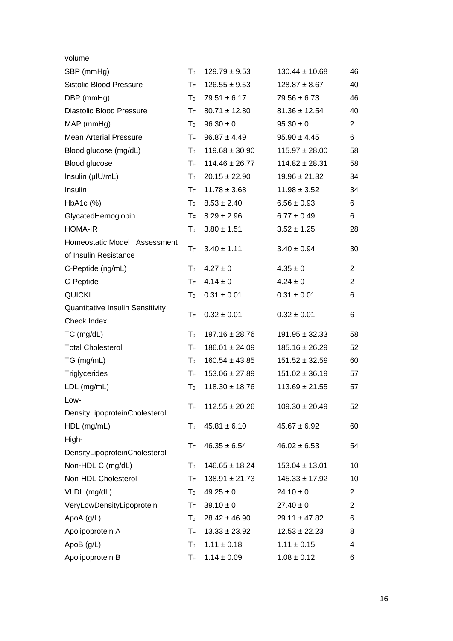| volume                           |                         |                    |                    |                |
|----------------------------------|-------------------------|--------------------|--------------------|----------------|
| SBP (mmHg)                       | T <sub>0</sub>          | $129.79 \pm 9.53$  | $130.44 \pm 10.68$ | 46             |
| <b>Sistolic Blood Pressure</b>   | ТF                      | $126.55 \pm 9.53$  | $128.87 \pm 8.67$  | 40             |
| DBP (mmHg)                       | T <sub>0</sub>          | $79.51 \pm 6.17$   | $79.56 \pm 6.73$   | 46             |
| <b>Diastolic Blood Pressure</b>  | ТF                      | $80.71 \pm 12.80$  | $81.36 \pm 12.54$  | 40             |
| MAP (mmHg)                       | $T_0$                   | $96.30 \pm 0$      | $95.30 \pm 0$      | $\overline{2}$ |
| <b>Mean Arterial Pressure</b>    | $T_{\mathsf{F}}$        | $96.87 \pm 4.49$   | $95.90 \pm 4.45$   | 6              |
| Blood glucose (mg/dL)            | $T_0$                   | $119.68 \pm 30.90$ | $115.97 \pm 28.00$ | 58             |
| Blood glucose                    | $T_F$                   | $114.46 \pm 26.77$ | $114.82 \pm 28.31$ | 58             |
| Insulin (µIU/mL)                 | T <sub>0</sub>          | $20.15 \pm 22.90$  | $19.96 \pm 21.32$  | 34             |
| Insulin                          | $T_{\mathsf{F}}$        | $11.78 \pm 3.68$   | $11.98 \pm 3.52$   | 34             |
| HbA1c (%)                        | $T_0$                   | $8.53 \pm 2.40$    | $6.56 \pm 0.93$    | 6              |
| GlycatedHemoglobin               | ТF                      | $8.29 \pm 2.96$    | $6.77 \pm 0.49$    | 6              |
| <b>HOMA-IR</b>                   | $T_0$                   | $3.80 \pm 1.51$    | $3.52 \pm 1.25$    | 28             |
| Homeostatic Model Assessment     |                         | $3.40 \pm 1.11$    |                    |                |
| of Insulin Resistance            | ТF.                     |                    | $3.40 \pm 0.94$    | 30             |
| C-Peptide (ng/mL)                | $T_0$                   | $4.27 \pm 0$       | $4.35 \pm 0$       | $\overline{2}$ |
| C-Peptide                        | $\mathsf T_{\mathsf F}$ | $4.14 \pm 0$       | $4.24 \pm 0$       | $\overline{2}$ |
| <b>QUICKI</b>                    | $T_0$                   | $0.31 \pm 0.01$    | $0.31 \pm 0.01$    | 6              |
| Quantitative Insulin Sensitivity | $T_F$                   | $0.32 \pm 0.01$    | $0.32 \pm 0.01$    |                |
| Check Index                      |                         |                    |                    | 6              |
| $TC$ (mg/dL)                     | T <sub>0</sub>          | $197.16 \pm 28.76$ | $191.95 \pm 32.33$ | 58             |
| <b>Total Cholesterol</b>         | $T_{\mathsf{F}}$        | $186.01 \pm 24.09$ | $185.16 \pm 26.29$ | 52             |
| TG (mg/mL)                       | $T_0$                   | $160.54 \pm 43.85$ | $151.52 \pm 32.59$ | 60             |
| <b>Triglycerides</b>             | $T_F$                   | $153.06 \pm 27.89$ | $151.02 \pm 36.19$ | 57             |
| LDL (mg/mL)                      | T <sub>0</sub>          | $118.30 \pm 18.76$ | $113.69 \pm 21.55$ | 57             |
| Low-                             | $T_F$                   | $112.55 \pm 20.26$ | $109.30 \pm 20.49$ | 52             |
| DensityLipoproteinCholesterol    |                         |                    |                    |                |
| HDL (mg/mL)                      | T <sub>0</sub>          | $45.81 \pm 6.10$   | $45.67 \pm 6.92$   | 60             |
| High-                            |                         |                    |                    |                |
| DensityLipoproteinCholesterol    | ТF                      | $46.35 \pm 6.54$   | $46.02 \pm 6.53$   | 54             |
| Non-HDL C (mg/dL)                | T <sub>0</sub>          | $146.65 \pm 18.24$ | $153.04 \pm 13.01$ | 10             |
| Non-HDL Cholesterol              | $T_F$                   | $138.91 \pm 21.73$ | $145.33 \pm 17.92$ | 10             |
| VLDL (mg/dL)                     | T <sub>0</sub>          | $49.25 \pm 0$      | $24.10 \pm 0$      | 2              |
| VeryLowDensityLipoprotein        | $T_F$                   | $39.10 \pm 0$      | $27.40 \pm 0$      | $\overline{2}$ |
| ApoA (g/L)                       | T <sub>0</sub>          | $28.42 \pm 46.90$  | $29.11 \pm 47.82$  | 6              |
| Apolipoprotein A                 | $T_F$                   | $13.33 \pm 23.92$  | $12.53 \pm 22.23$  | 8              |
| ApoB $(g/L)$                     | T <sub>0</sub>          | $1.11 \pm 0.18$    | $1.11 \pm 0.15$    | 4              |
| Apolipoprotein B                 | $T_F$                   | $1.14 \pm 0.09$    | $1.08 \pm 0.12$    | 6              |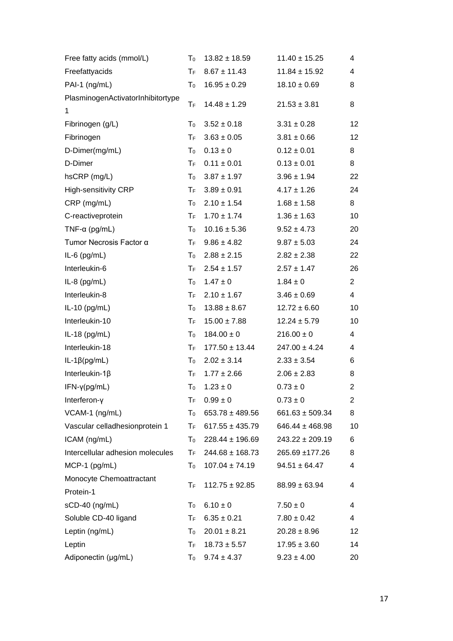| Free fatty acids (mmol/L)         | T <sub>0</sub>   | $13.82 \pm 18.59$   | $11.40 \pm 15.25$   | 4              |
|-----------------------------------|------------------|---------------------|---------------------|----------------|
| Freefattyacids                    | $T_F$            | $8.67 \pm 11.43$    | $11.84 \pm 15.92$   | 4              |
| PAI-1 (ng/mL)                     | T <sub>0</sub>   | $16.95 \pm 0.29$    | $18.10 \pm 0.69$    | 8              |
| PlasminogenActivatorInhibitortype |                  |                     |                     |                |
| 1                                 | ТF               | $14.48 \pm 1.29$    | $21.53 \pm 3.81$    | 8              |
| Fibrinogen (g/L)                  | T <sub>0</sub>   | $3.52 \pm 0.18$     | $3.31 \pm 0.28$     | 12             |
| Fibrinogen                        | $T_{\mathsf{F}}$ | $3.63 \pm 0.05$     | $3.81 \pm 0.66$     | 12             |
| D-Dimer(mg/mL)                    | T <sub>0</sub>   | $0.13 \pm 0$        | $0.12 \pm 0.01$     | 8              |
| D-Dimer                           | $T_F$            | $0.11 \pm 0.01$     | $0.13 \pm 0.01$     | 8              |
| hsCRP (mg/L)                      | T <sub>0</sub>   | $3.87 \pm 1.97$     | $3.96 \pm 1.94$     | 22             |
| <b>High-sensitivity CRP</b>       | $T_F$            | $3.89 \pm 0.91$     | $4.17 \pm 1.26$     | 24             |
| $CRP$ (mg/mL)                     | $T_0$            | $2.10 \pm 1.54$     | $1.68 \pm 1.58$     | 8              |
| C-reactiveprotein                 | $T_{\mathsf{F}}$ | $1.70 \pm 1.74$     | $1.36 \pm 1.63$     | 10             |
| TNF- $\alpha$ (pg/mL)             | $T_0$            | $10.16 \pm 5.36$    | $9.52 \pm 4.73$     | 20             |
| Tumor Necrosis Factor α           | $T_F$            | $9.86 \pm 4.82$     | $9.87 \pm 5.03$     | 24             |
| $IL-6$ (pg/mL)                    | T <sub>0</sub>   | $2.88 \pm 2.15$     | $2.82 \pm 2.38$     | 22             |
| Interleukin-6                     | $T_{\rm F}$      | $2.54 \pm 1.57$     | $2.57 \pm 1.47$     | 26             |
| $IL-8$ (pg/mL)                    | $T_0$            | $1.47 \pm 0$        | $1.84 \pm 0$        | $\overline{c}$ |
| Interleukin-8                     | $T_{\rm F}$      | $2.10 \pm 1.67$     | $3.46 \pm 0.69$     | 4              |
| IL-10 $(pg/mL)$                   | $\mathsf{T}_0$   | $13.88 \pm 8.67$    | $12.72 \pm 6.60$    | 10             |
| Interleukin-10                    | $T_F$            | $15.00 \pm 7.88$    | $12.24 \pm 5.79$    | 10             |
| IL-18 $(pg/mL)$                   | $T_0$            | $184.00 \pm 0$      | $216.00 \pm 0$      | 4              |
| Interleukin-18                    | $T_{\mathsf{F}}$ | $177.50 \pm 13.44$  | $247.00 \pm 4.24$   | 4              |
| $IL-1\beta(pg/mL)$                | $\mathsf{T}_0$   | $2.02 \pm 3.14$     | $2.33 \pm 3.54$     | 6              |
| Interleukin-1 $\beta$             | $T_{\mathsf{F}}$ | $1.77 \pm 2.66$     | $2.06 \pm 2.83$     | 8              |
| $IFN-\gamma(pg/mL)$               | T <sub>0</sub>   | $1.23 \pm 0$        | $0.73 \pm 0$        | $\overline{c}$ |
| Interferon-y                      | ТF               | $0.99 \pm 0$        | $0.73 \pm 0$        | 2              |
| VCAM-1 (ng/mL)                    | $T_0$            | $653.78 \pm 489.56$ | $661.63 \pm 509.34$ | 8              |
| Vascular celladhesionprotein 1    | $T_{\mathsf{F}}$ | $617.55 \pm 435.79$ | $646.44 \pm 468.98$ | 10             |
| ICAM (ng/mL)                      | $T_0$            | $228.44 \pm 196.69$ | $243.22 \pm 209.19$ | 6              |
| Intercellular adhesion molecules  | $T_{\mathsf{F}}$ | $244.68 \pm 168.73$ | 265.69 ±177.26      | 8              |
| $MCP-1$ (pg/mL)                   | T <sub>0</sub>   | $107.04 \pm 74.19$  | $94.51 \pm 64.47$   | 4              |
| Monocyte Chemoattractant          |                  |                     |                     |                |
| Protein-1                         | ТF               | $112.75 \pm 92.85$  | $88.99 \pm 63.94$   | 4              |
| sCD-40 (ng/mL)                    | T <sub>0</sub>   | $6.10 \pm 0$        | $7.50 \pm 0$        | 4              |
| Soluble CD-40 ligand              | $T_{\mathsf{F}}$ | $6.35 \pm 0.21$     | $7.80 \pm 0.42$     | 4              |
| Leptin (ng/mL)                    | T <sub>0</sub>   | $20.01 \pm 8.21$    | $20.28 \pm 8.96$    | 12             |
| Leptin                            | $T_{\mathsf{F}}$ | $18.73 \pm 5.57$    | $17.95 \pm 3.60$    | 14             |
| Adiponectin (µg/mL)               | $T_0$            | $9.74 \pm 4.37$     | $9.23 \pm 4.00$     | 20             |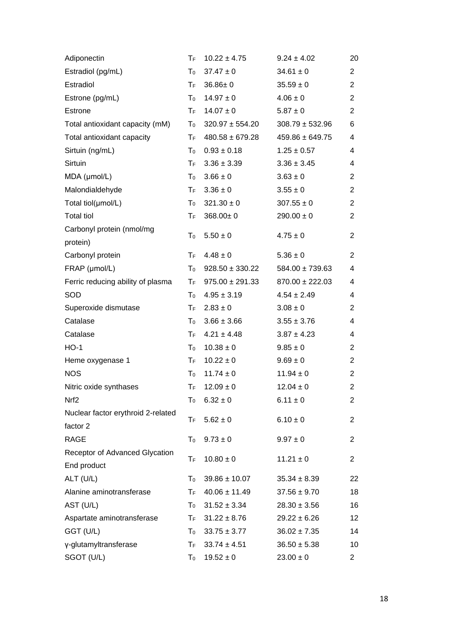| ТF                      | $10.22 \pm 4.75$    | $9.24 \pm 4.02$                           | 20             |
|-------------------------|---------------------|-------------------------------------------|----------------|
| T <sub>0</sub>          | $37.47 \pm 0$       | $34.61 \pm 0$                             | $\overline{c}$ |
| ТF                      | $36.86 \pm 0$       | $35.59 \pm 0$                             | $\overline{2}$ |
| T <sub>0</sub>          | $14.97 \pm 0$       | $4.06 \pm 0$                              | $\overline{2}$ |
| ΤF                      | $14.07 \pm 0$       | $5.87 \pm 0$                              | 2              |
| T <sub>0</sub>          | $320.97 \pm 554.20$ | $308.79 \pm 532.96$                       | 6              |
| ΤF                      | $480.58 \pm 679.28$ | $459.86 \pm 649.75$                       | 4              |
| $T_0$                   | $0.93 \pm 0.18$     | $1.25 \pm 0.57$                           | 4              |
| ΤF                      | $3.36 \pm 3.39$     | $3.36 \pm 3.45$                           | 4              |
| T <sub>0</sub>          | $3.66 \pm 0$        | $3.63 \pm 0$                              | 2              |
| $T_{\mathsf{F}}$        | $3.36 \pm 0$        | $3.55 \pm 0$                              | 2              |
| $T_0$                   | $321.30 \pm 0$      | $307.55 \pm 0$                            | $\overline{2}$ |
| ТF                      | $368.00 \pm 0$      | $290.00 \pm 0$                            | 2              |
| T <sub>0</sub>          | $5.50 \pm 0$        | $4.75 \pm 0$                              | $\overline{2}$ |
| ТF                      | $4.48 \pm 0$        | $5.36 \pm 0$                              | $\overline{2}$ |
| $T_0$                   | $928.50 \pm 330.22$ | $584.00 \pm 739.63$                       | 4              |
|                         | $975.00 \pm 291.33$ | $870.00 \pm 222.03$                       | 4              |
| $T_0$                   | $4.95 \pm 3.19$     | $4.54 \pm 2.49$                           | 4              |
| $T_{\mathsf{F}}$        | $2.83 \pm 0$        | $3.08 \pm 0$                              | $\overline{2}$ |
| $T_0$                   | $3.66 \pm 3.66$     | $3.55 \pm 3.76$                           | 4              |
| $\mathsf T_{\mathsf F}$ | $4.21 \pm 4.48$     | $3.87 \pm 4.23$                           | 4              |
| $T_0$                   | $10.38 \pm 0$       | $9.85 \pm 0$                              | $\overline{2}$ |
| $T_{\mathsf{F}}$        | $10.22 \pm 0$       | $9.69 \pm 0$                              | $\overline{2}$ |
| $\mathsf{T}_0$          | $11.74 \pm 0$       | $11.94 \pm 0$                             | $\overline{2}$ |
| ТF                      | $12.09 \pm 0$       | $12.04 \pm 0$                             | $\overline{2}$ |
| T <sub>0</sub>          | $6.32 \pm 0$        | $6.11 \pm 0$                              | $\overline{2}$ |
| ТF                      | $5.62 \pm 0$        | $6.10 \pm 0$                              | $\overline{2}$ |
|                         |                     |                                           | $\overline{2}$ |
| $T_F$                   | $10.80 \pm 0$       | $11.21 \pm 0$                             | $\overline{2}$ |
| $T_0$                   | $39.86 \pm 10.07$   | $35.34 \pm 8.39$                          | 22             |
| ТF                      | $40.06 \pm 11.49$   | $37.56 \pm 9.70$                          | 18             |
| T <sub>0</sub>          | $31.52 \pm 3.34$    | $28.30 \pm 3.56$                          | 16             |
| ТF                      | $31.22 \pm 8.76$    | $29.22 \pm 6.26$                          | 12             |
| T <sub>0</sub>          | $33.75 \pm 3.77$    | $36.02 \pm 7.35$                          | 14             |
| $T_{\mathsf{F}}$        | $33.74 \pm 4.51$    | $36.50 \pm 5.38$                          | 10             |
| T <sub>0</sub>          | $19.52 \pm 0$       | $23.00 \pm 0$                             | $\overline{2}$ |
|                         | T <sub>0</sub>      | $\mathsf{T}_\mathsf{F}$ .<br>$9.73 \pm 0$ | $9.97 \pm 0$   |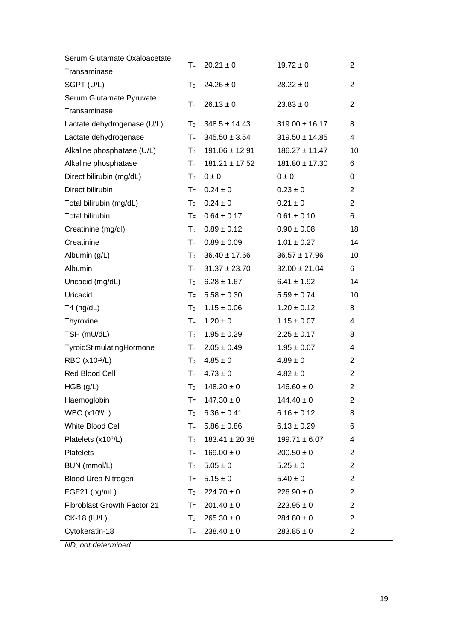| Serum Glutamate Oxaloacetate    | ТF                        | $20.21 \pm 0$      | $19.72 \pm 0$      | $\overline{2}$ |
|---------------------------------|---------------------------|--------------------|--------------------|----------------|
| Transaminase                    |                           |                    |                    |                |
| SGPT (U/L)                      | T <sub>0</sub>            | $24.26 \pm 0$      | $28.22 \pm 0$      | $\overline{2}$ |
| Serum Glutamate Pyruvate        | ТF                        | $26.13 \pm 0$      | $23.83 \pm 0$      | $\overline{2}$ |
| Transaminase                    |                           |                    |                    |                |
| Lactate dehydrogenase (U/L)     | T <sub>0</sub>            | $348.5 \pm 14.43$  | $319.00 \pm 16.17$ | 8              |
| Lactate dehydrogenase           | $\mathsf{T}_{\mathsf{F}}$ | $345.50 \pm 3.54$  | $319.50 \pm 14.85$ | 4              |
| Alkaline phosphatase (U/L)      | $T_0$                     | $191.06 \pm 12.91$ | $186.27 \pm 11.47$ | 10             |
| Alkaline phosphatase            | $\mathsf{T}_{\mathsf{F}}$ | $181.21 \pm 17.52$ | $181.80 \pm 17.30$ | 6              |
| Direct bilirubin (mg/dL)        | T <sub>0</sub>            | $0 \pm 0$          | $0 \pm 0$          | 0              |
| Direct bilirubin                | $T_F$                     | $0.24 \pm 0$       | $0.23 \pm 0$       | $\overline{2}$ |
| Total bilirubin (mg/dL)         | $T_0$                     | $0.24 \pm 0$       | $0.21 \pm 0$       | $\overline{2}$ |
| <b>Total bilirubin</b>          | ТF                        | $0.64 \pm 0.17$    | $0.61 \pm 0.10$    | 6              |
| Creatinine (mg/dl)              | $T_0$                     | $0.89 \pm 0.12$    | $0.90 \pm 0.08$    | 18             |
| Creatinine                      | $\mathsf{T}_{\mathsf{F}}$ | $0.89 \pm 0.09$    | $1.01 \pm 0.27$    | 14             |
| Albumin (g/L)                   | T <sub>0</sub>            | $36.40 \pm 17.66$  | $36.57 \pm 17.96$  | 10             |
| Albumin                         | $\mathsf{T}_{\mathsf{F}}$ | $31.37 \pm 23.70$  | $32.00 \pm 21.04$  | 6              |
| Uricacid (mg/dL)                | $T_0$                     | $6.28 \pm 1.67$    | $6.41 \pm 1.92$    | 14             |
| Uricacid                        | $T_F$                     | $5.58 \pm 0.30$    | $5.59 \pm 0.74$    | 10             |
| $T4$ (ng/dL)                    | $T_0$                     | $1.15 \pm 0.06$    | $1.20 \pm 0.12$    | 8              |
| Thyroxine                       | $T_{\mathsf{F}}$          | $1.20 \pm 0$       | $1.15 \pm 0.07$    | 4              |
| TSH (mU/dL)                     | $T_0$                     | $1.95 \pm 0.29$    | $2.25 \pm 0.17$    | 8              |
| TyroidStimulatingHormone        | $\mathsf{T}_{\mathsf{F}}$ | $2.05 \pm 0.49$    | $1.95 \pm 0.07$    | 4              |
| RBC (x10 <sup>12</sup> /L)      | T <sub>0</sub>            | $4.85 \pm 0$       | $4.89 \pm 0$       | $\overline{c}$ |
| Red Blood Cell                  | $T_F$                     | $4.73 \pm 0$       | $4.82 \pm 0$       | $\overline{2}$ |
| HGB (g/L)                       | T <sub>0</sub>            | $148.20 \pm 0$     | $146.60 \pm 0$     | $\overline{2}$ |
| Haemoglobin                     | ТF                        | $147.30 \pm 0$     | $144.40 \pm 0$     | 2              |
| WBC $(x109/L)$                  | T <sub>0</sub>            | $6.36 \pm 0.41$    | $6.16 \pm 0.12$    | 8              |
| White Blood Cell                | ТF                        | $5.86 \pm 0.86$    | $6.13 \pm 0.29$    | 6              |
| Platelets (x10 <sup>9</sup> /L) | T <sub>0</sub>            | $183.41 \pm 20.38$ | $199.71 \pm 6.07$  | 4              |
| <b>Platelets</b>                | <b>TF</b>                 | $169.00 \pm 0$     | $200.50 \pm 0$     | 2              |
| BUN (mmol/L)                    | T <sub>0</sub>            | $5.05 \pm 0$       | $5.25 \pm 0$       | $\overline{c}$ |
| Blood Urea Nitrogen             | $T_F$                     | $5.15 \pm 0$       | $5.40 \pm 0$       | $\overline{2}$ |
| FGF21 (pg/mL)                   | T <sub>0</sub>            | $224.70 \pm 0$     | $226.90 \pm 0$     | $\overline{2}$ |
| Fibroblast Growth Factor 21     | $T_F$                     | $201.40 \pm 0$     | $223.95 \pm 0$     | $\overline{2}$ |
| CK-18 (IU/L)                    | T <sub>0</sub>            | $265.30 \pm 0$     | $284.80 \pm 0$     | $\overline{c}$ |
| Cytokeratin-18                  | ТF                        | $238.40 \pm 0$     | $283.85 \pm 0$     | $\overline{c}$ |

*ND, not determined*

L,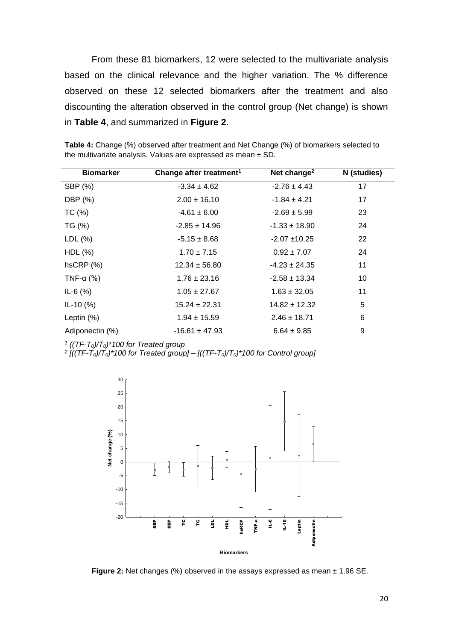From these 81 biomarkers, 12 were selected to the multivariate analysis based on the clinical relevance and the higher variation. The % difference observed on these 12 selected biomarkers after the treatment and also discounting the alteration observed in the control group (Net change) is shown in **Table 4**, and summarized in **Figure 2**.

| <b>Biomarker</b>    | Change after treatment <sup>1</sup> | Net change <sup>2</sup> | N (studies) |
|---------------------|-------------------------------------|-------------------------|-------------|
| SBP (%)             | $-3.34 \pm 4.62$                    | $-2.76 \pm 4.43$        | 17          |
| DBP (%)             | $2.00 \pm 16.10$                    | $-1.84 \pm 4.21$        | 17          |
| TC(%)               | $-4.61 \pm 6.00$                    | $-2.69 \pm 5.99$        | 23          |
| TG (%)              | $-2.85 \pm 14.96$                   | $-1.33 \pm 18.90$       | 24          |
| LDL <sub>(</sub> %) | $-5.15 \pm 8.68$                    | $-2.07 + 10.25$         | 22          |
| HDL(%)              | $1.70 \pm 7.15$                     | $0.92 \pm 7.07$         | 24          |
| hSCRP(%)            | $12.34 \pm 56.80$                   | $-4.23 \pm 24.35$       | 11          |
| TNF- $\alpha$ (%)   | $1.76 \pm 23.16$                    | $-2.58 \pm 13.34$       | 10          |
| $IL-6(%)$           | $1.05 \pm 27.67$                    | $1.63 \pm 32.05$        | 11          |
| $IL-10(%)$          | $15.24 \pm 22.31$                   | $14.82 \pm 12.32$       | 5           |
| Leptin $(\%)$       | $1.94 \pm 15.59$                    | $2.46 \pm 18.71$        | 6           |
| Adiponectin (%)     | $-16.61 \pm 47.93$                  | $6.64 \pm 9.85$         | 9           |

<span id="page-22-1"></span>**Table 4:** Change (%) observed after treatment and Net Change (%) of biomarkers selected to the multivariate analysis. Values are expressed as mean ± SD*.*

*1 ((TF-T0)/T0)\*100 for Treated group* 

*2 [((TF-T0)/T0)\*100 for Treated group] – [((TF-T0)/T0)\*100 for Control group]*



<span id="page-22-0"></span>**Figure 2:** Net changes (%) observed in the assays expressed as mean  $\pm$  1.96 SE.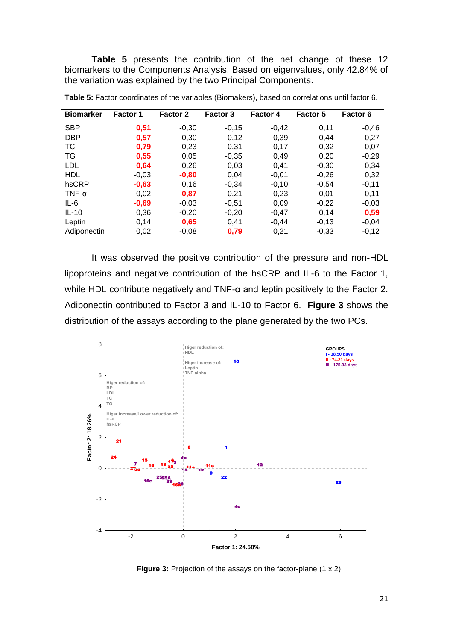**Table 5** presents the contribution of the net change of these 12 biomarkers to the Components Analysis. Based on eigenvalues, only 42.84% of the variation was explained by the two Principal Components.

| <b>Biomarker</b> | <b>Factor 1</b> | <b>Factor 2</b> | <b>Factor 3</b> | <b>Factor 4</b> | <b>Factor 5</b> | Factor 6 |
|------------------|-----------------|-----------------|-----------------|-----------------|-----------------|----------|
| <b>SBP</b>       | 0,51            | $-0.30$         | $-0,15$         | $-0,42$         | 0,11            | $-0,46$  |
| <b>DBP</b>       | 0,57            | $-0.30$         | $-0.12$         | $-0.39$         | $-0.44$         | $-0,27$  |
| ТC               | 0,79            | 0,23            | $-0,31$         | 0,17            | $-0,32$         | 0,07     |
| TG               | 0,55            | 0.05            | $-0.35$         | 0.49            | 0.20            | $-0,29$  |
| LDL              | 0,64            | 0,26            | 0,03            | 0,41            | $-0,30$         | 0,34     |
| <b>HDL</b>       | $-0,03$         | $-0,80$         | 0.04            | $-0,01$         | $-0,26$         | 0,32     |
| hsCRP            | $-0.63$         | 0.16            | $-0.34$         | $-0.10$         | $-0.54$         | $-0,11$  |
| $TNF-\alpha$     | $-0,02$         | 0,87            | $-0,21$         | $-0,23$         | 0,01            | 0,11     |
| $IL-6$           | $-0,69$         | $-0.03$         | $-0.51$         | 0.09            | $-0.22$         | $-0,03$  |
| $IL-10$          | 0.36            | $-0.20$         | $-0.20$         | $-0.47$         | 0.14            | 0,59     |
| Leptin           | 0,14            | 0,65            | 0.41            | $-0.44$         | $-0.13$         | $-0,04$  |
| Adiponectin      | 0,02            | $-0,08$         | 0,79            | 0,21            | $-0,33$         | $-0,12$  |

<span id="page-23-1"></span>**Table 5:** Factor coordinates of the variables (Biomakers), based on correlations until factor 6.

It was observed the positive contribution of the pressure and non-HDL lipoproteins and negative contribution of the hsCRP and IL-6 to the Factor 1, while HDL contribute negatively and TNF-α and leptin positively to the Factor 2. Adiponectin contributed to Factor 3 and IL-10 to Factor 6. **Figure 3** shows the distribution of the assays according to the plane generated by the two PCs.



<span id="page-23-0"></span>**Figure 3:** Projection of the assays on the factor-plane (1 x 2).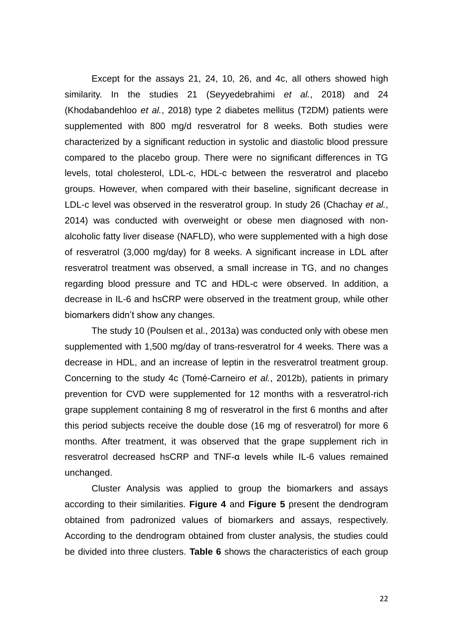Except for the assays 21, 24, 10, 26, and 4c, all others showed high similarity. In the studies 21 (Seyyedebrahimi *et al.*, 2018) and 24 (Khodabandehloo *et al.*, 2018) type 2 diabetes mellitus (T2DM) patients were supplemented with 800 mg/d resveratrol for 8 weeks. Both studies were characterized by a significant reduction in systolic and diastolic blood pressure compared to the placebo group. There were no significant differences in TG levels, total cholesterol, LDL-c, HDL-c between the resveratrol and placebo groups. However, when compared with their baseline, significant decrease in LDL-c level was observed in the resveratrol group. In study 26 (Chachay *et al.*, 2014) was conducted with overweight or obese men diagnosed with nonalcoholic fatty liver disease (NAFLD), who were supplemented with a high dose of resveratrol (3,000 mg/day) for 8 weeks. A significant increase in LDL after resveratrol treatment was observed, a small increase in TG, and no changes regarding blood pressure and TC and HDL-c were observed. In addition, a decrease in IL-6 and hsCRP were observed in the treatment group, while other biomarkers didn't show any changes.

The study 10 (Poulsen et al., 2013a) was conducted only with obese men supplemented with 1,500 mg/day of trans-resveratrol for 4 weeks. There was a decrease in HDL, and an increase of leptin in the resveratrol treatment group. Concerning to the study 4c (Tomé-Carneiro *et al.*, 2012b), patients in primary prevention for CVD were supplemented for 12 months with a resveratrol-rich grape supplement containing 8 mg of resveratrol in the first 6 months and after this period subjects receive the double dose (16 mg of resveratrol) for more 6 months. After treatment, it was observed that the grape supplement rich in resveratrol decreased hsCRP and TNF-α levels while IL-6 values remained unchanged.

Cluster Analysis was applied to group the biomarkers and assays according to their similarities. **Figure 4** and **Figure 5** present the dendrogram obtained from padronized values of biomarkers and assays, respectively. According to the dendrogram obtained from cluster analysis, the studies could be divided into three clusters. **Table 6** shows the characteristics of each group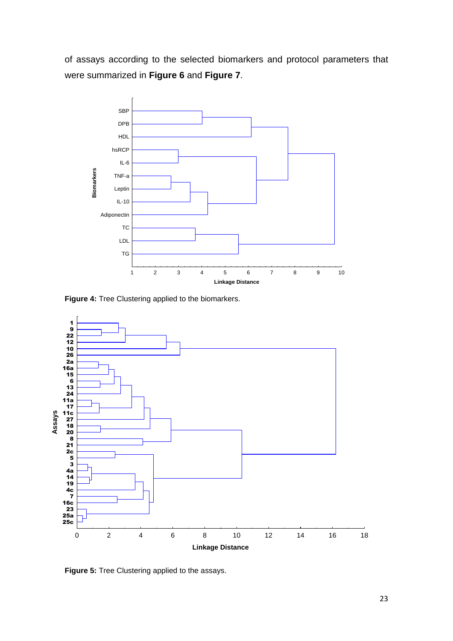of assays according to the selected biomarkers and protocol parameters that were summarized in **Figure 6** and **Figure 7**.



<span id="page-25-0"></span>**Figure 4:** Tree Clustering applied to the biomarkers.



<span id="page-25-1"></span>**Figure 5:** Tree Clustering applied to the assays.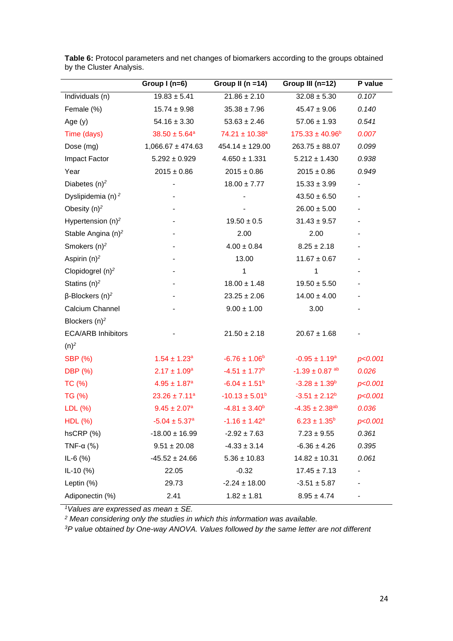|                                    | Group $I(n=6)$                | Group II ( $n = 14$ )          | Group III (n=12)               | P value                  |
|------------------------------------|-------------------------------|--------------------------------|--------------------------------|--------------------------|
| Individuals (n)                    | $19.83 \pm 5.41$              | $21.86 \pm 2.10$               | $32.08 \pm 5.30$               | 0.107                    |
| Female (%)                         | $15.74 \pm 9.98$              | $35.38 \pm 7.96$               | $45.47 \pm 9.06$               | 0.140                    |
| Age $(y)$                          | $54.16 \pm 3.30$              | $53.63 \pm 2.46$               | $57.06 \pm 1.93$               | 0.541                    |
| Time (days)                        | $38.50 \pm 5.64^a$            | $74.21 \pm 10.38$ <sup>a</sup> | $175.33 \pm 40.96^b$           | 0.007                    |
| Dose (mg)                          | $1,066.67 \pm 474.63$         | $454.14 \pm 129.00$            | $263.75 \pm 88.07$             | 0.099                    |
| Impact Factor                      | $5.292 \pm 0.929$             | $4.650 \pm 1.331$              | $5.212 \pm 1.430$              | 0.938                    |
| Year                               | $2015 \pm 0.86$               | $2015 \pm 0.86$                | $2015 \pm 0.86$                | 0.949                    |
| Diabetes $(n)^2$                   |                               | $18.00 \pm 7.77$               | $15.33 \pm 3.99$               | $\overline{\phantom{a}}$ |
| Dyslipidemia (n) <sup>2</sup>      |                               |                                | $43.50 \pm 6.50$               |                          |
| Obesity $(n)^2$                    |                               |                                | $26.00 \pm 5.00$               |                          |
| Hypertension $(n)^2$               |                               | $19.50 \pm 0.5$                | $31.43 \pm 9.57$               |                          |
| Stable Angina (n) <sup>2</sup>     |                               | 2.00                           | 2.00                           | $\overline{\phantom{a}}$ |
| Smokers $(n)^2$                    |                               | $4.00 \pm 0.84$                | $8.25 \pm 2.18$                |                          |
| Aspirin $(n)^2$                    |                               | 13.00                          | $11.67 \pm 0.67$               |                          |
| Clopidogrel $(n)^2$                |                               | 1                              | 1                              |                          |
| Statins $(n)^2$                    |                               | $18.00 \pm 1.48$               | $19.50 \pm 5.50$               |                          |
| $\beta$ -Blockers (n) <sup>2</sup> |                               | $23.25 \pm 2.06$               | $14.00 \pm 4.00$               |                          |
| Calcium Channel                    |                               | $9.00 \pm 1.00$                | 3.00                           |                          |
| Blockers $(n)^2$                   |                               |                                |                                |                          |
| <b>ECA/ARB Inhibitors</b>          |                               | $21.50 \pm 2.18$               | $20.67 \pm 1.68$               |                          |
| $(n)^2$                            |                               |                                |                                |                          |
| <b>SBP (%)</b>                     | $1.54 \pm 1.23$ <sup>a</sup>  | $-6.76 \pm 1.06^b$             | $-0.95 \pm 1.19^a$             | p<0.001                  |
| DBP (%)                            | $2.17 \pm 1.09^a$             | $-4.51 \pm 1.77$ <sup>b</sup>  | $-1.39 \pm 0.87$ <sup>ab</sup> | 0.026                    |
| TC (%)                             | $4.95 \pm 1.87$ <sup>a</sup>  | $-6.04 \pm 1.51$ <sup>b</sup>  | $-3.28 \pm 1.39^b$             | p<0.001                  |
| TG (%)                             | $23.26 \pm 7.11^a$            | $-10.13 \pm 5.01^b$            | $-3.51 \pm 2.12^b$             | p<0.001                  |
| LDL (%)                            | $9.45 \pm 2.07^a$             | $-4.81 \pm 3.40^b$             | $-4.35 \pm 2.38$ <sup>ab</sup> | 0.036                    |
| HDL(%)                             | $-5.04 \pm 5.37$ <sup>a</sup> | $-1.16 \pm 1.42^a$             | $6.23 \pm 1.35^b$              | p<0.001                  |
| $hSCRP$ (%)                        | $-18.00 \pm 16.99$            | $-2.92 \pm 7.63$               | $7.23 \pm 9.55$                | 0.361                    |
| TNF- $\alpha$ (%)                  | $9.51 \pm 20.08$              | $-4.33 \pm 3.14$               | $-6.36 \pm 4.26$               | 0.395                    |
| $IL-6$ (%)                         | $-45.52 \pm 24.66$            | $5.36 \pm 10.83$               | $14.82 \pm 10.31$              | 0.061                    |
| $IL-10(%)$                         | 22.05                         | $-0.32$                        | $17.45 \pm 7.13$               |                          |
| Leptin (%)                         | 29.73                         | $-2.24 \pm 18.00$              | $-3.51 \pm 5.87$               |                          |
| Adiponectin (%)                    | 2.41                          | $1.82 \pm 1.81$                | $8.95 \pm 4.74$                |                          |

<span id="page-26-0"></span>**Table 6:** Protocol parameters and net changes of biomarkers according to the groups obtained by the Cluster Analysis.

*<sup>1</sup>Values are expressed as mean ± SE.* 

*<sup>2</sup> Mean considering only the studies in which this information was available.*

*3P value obtained by One-way ANOVA. Values followed by the same letter are not different*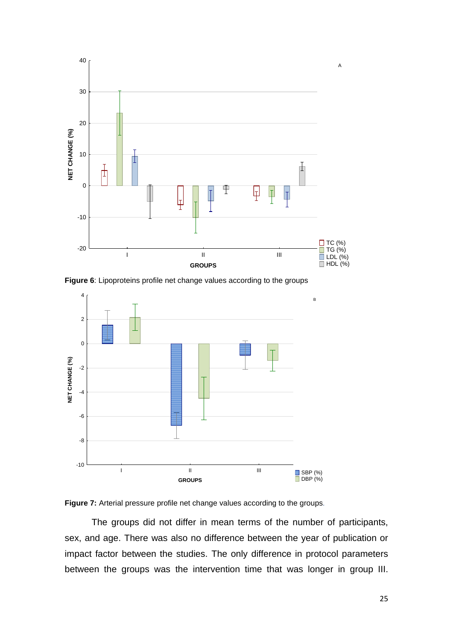

**Figure 6**: Lipoproteins profile net change values according to the groups



<span id="page-27-0"></span>

The groups did not differ in mean terms of the number of participants, sex, and age. There was also no difference between the year of publication or impact factor between the studies. The only difference in protocol parameters between the groups was the intervention time that was longer in group III.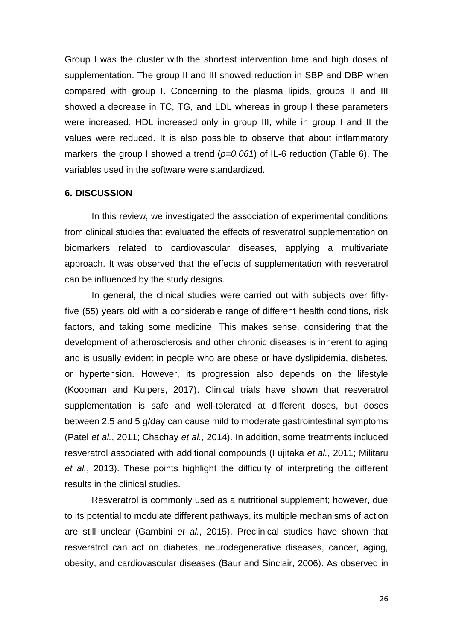Group I was the cluster with the shortest intervention time and high doses of supplementation. The group II and III showed reduction in SBP and DBP when compared with group I. Concerning to the plasma lipids, groups II and III showed a decrease in TC, TG, and LDL whereas in group I these parameters were increased. HDL increased only in group III, while in group I and II the values were reduced. It is also possible to observe that about inflammatory markers, the group I showed a trend (*p=0.061*) of IL-6 reduction (Table 6). The variables used in the software were standardized.

#### <span id="page-28-0"></span>**6. DISCUSSION**

In this review, we investigated the association of experimental conditions from clinical studies that evaluated the effects of resveratrol supplementation on biomarkers related to cardiovascular diseases, applying a multivariate approach. It was observed that the effects of supplementation with resveratrol can be influenced by the study designs.

In general, the clinical studies were carried out with subjects over fiftyfive (55) years old with a considerable range of different health conditions, risk factors, and taking some medicine. This makes sense, considering that the development of atherosclerosis and other chronic diseases is inherent to aging and is usually evident in people who are obese or have dyslipidemia, diabetes, or hypertension. However, its progression also depends on the lifestyle (Koopman and Kuipers, 2017). Clinical trials have shown that resveratrol supplementation is safe and well-tolerated at different doses, but doses between 2.5 and 5 g/day can cause mild to moderate gastrointestinal symptoms (Patel *et al.*, 2011; Chachay *et al.*, 2014). In addition, some treatments included resveratrol associated with additional compounds (Fujitaka *et al.*, 2011; Militaru *et al.*, 2013). These points highlight the difficulty of interpreting the different results in the clinical studies.

Resveratrol is commonly used as a nutritional supplement; however, due to its potential to modulate different pathways, its multiple mechanisms of action are still unclear (Gambini *et al.*, 2015). Preclinical studies have shown that resveratrol can act on diabetes, neurodegenerative diseases, cancer, aging, obesity, and cardiovascular diseases (Baur and Sinclair, 2006). As observed in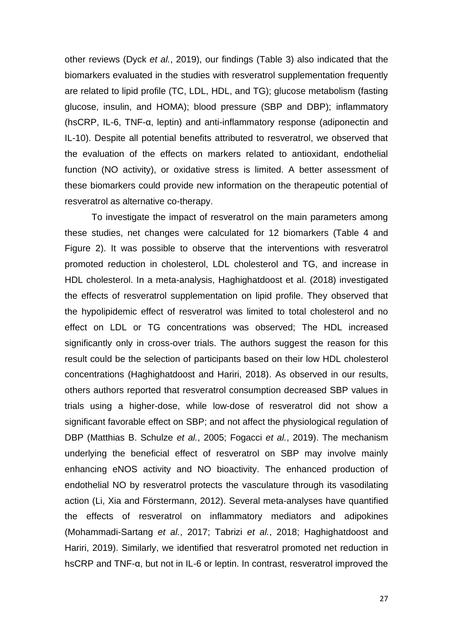other reviews (Dyck *et al.*, 2019), our findings (Table 3) also indicated that the biomarkers evaluated in the studies with resveratrol supplementation frequently are related to lipid profile (TC, LDL, HDL, and TG); glucose metabolism (fasting glucose, insulin, and HOMA); blood pressure (SBP and DBP); inflammatory (hsCRP, IL-6, TNF-α, leptin) and anti-inflammatory response (adiponectin and IL-10). Despite all potential benefits attributed to resveratrol, we observed that the evaluation of the effects on markers related to antioxidant, endothelial function (NO activity), or oxidative stress is limited. A better assessment of these biomarkers could provide new information on the therapeutic potential of resveratrol as alternative co-therapy.

To investigate the impact of resveratrol on the main parameters among these studies, net changes were calculated for 12 biomarkers (Table 4 and Figure 2). It was possible to observe that the interventions with resveratrol promoted reduction in cholesterol, LDL cholesterol and TG, and increase in HDL cholesterol. In a meta-analysis, Haghighatdoost et al. (2018) investigated the effects of resveratrol supplementation on lipid profile. They observed that the hypolipidemic effect of resveratrol was limited to total cholesterol and no effect on LDL or TG concentrations was observed; The HDL increased significantly only in cross-over trials. The authors suggest the reason for this result could be the selection of participants based on their low HDL cholesterol concentrations (Haghighatdoost and Hariri, 2018). As observed in our results, others authors reported that resveratrol consumption decreased SBP values in trials using a higher-dose, while low-dose of resveratrol did not show a significant favorable effect on SBP; and not affect the physiological regulation of DBP (Matthias B. Schulze *et al.*, 2005; Fogacci *et al.*, 2019). The mechanism underlying the beneficial effect of resveratrol on SBP may involve mainly enhancing eNOS activity and NO bioactivity. The enhanced production of endothelial NO by resveratrol protects the vasculature through its vasodilating action (Li, Xia and Förstermann, 2012). Several meta-analyses have quantified the effects of resveratrol on inflammatory mediators and adipokines (Mohammadi-Sartang *et al.*, 2017; Tabrizi *et al.*, 2018; Haghighatdoost and Hariri, 2019). Similarly, we identified that resveratrol promoted net reduction in hsCRP and TNF-α, but not in IL-6 or leptin. In contrast, resveratrol improved the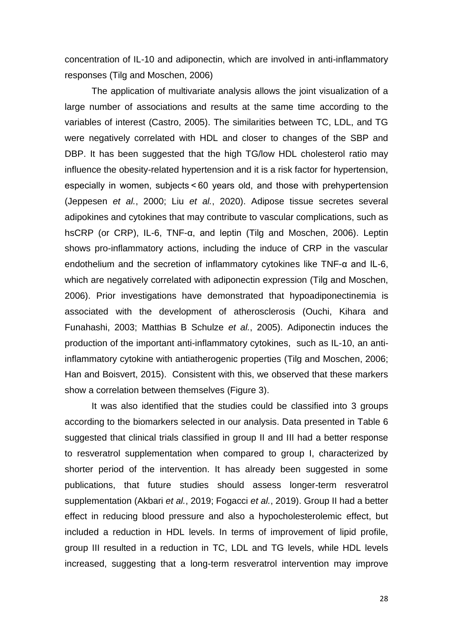concentration of IL-10 and adiponectin, which are involved in anti-inflammatory responses (Tilg and Moschen, 2006)

The application of multivariate analysis allows the joint visualization of a large number of associations and results at the same time according to the variables of interest (Castro, 2005). The similarities between TC, LDL, and TG were negatively correlated with HDL and closer to changes of the SBP and DBP. It has been suggested that the high TG/low HDL cholesterol ratio may influence the obesity-related hypertension and it is a risk factor for hypertension, especially in women, subjects < 60 years old, and those with prehypertension (Jeppesen *et al.*, 2000; Liu *et al.*, 2020). Adipose tissue secretes several adipokines and cytokines that may contribute to vascular complications, such as hsCRP (or CRP), IL-6, TNF-α, and leptin (Tilg and Moschen, 2006). Leptin shows pro-inflammatory actions, including the induce of CRP in the vascular endothelium and the secretion of inflammatory cytokines like TNF-α and IL-6, which are negatively correlated with adiponectin expression (Tilg and Moschen, 2006). Prior investigations have demonstrated that hypoadiponectinemia is associated with the development of atherosclerosis (Ouchi, Kihara and Funahashi, 2003; Matthias B Schulze *et al.*, 2005). Adiponectin induces the production of the important anti-inflammatory cytokines, such as IL-10, an antiinflammatory cytokine with antiatherogenic properties (Tilg and Moschen, 2006; Han and Boisvert, 2015). Consistent with this, we observed that these markers show a correlation between themselves (Figure 3).

It was also identified that the studies could be classified into 3 groups according to the biomarkers selected in our analysis. Data presented in Table 6 suggested that clinical trials classified in group II and III had a better response to resveratrol supplementation when compared to group I, characterized by shorter period of the intervention. It has already been suggested in some publications, that future studies should assess longer-term resveratrol supplementation (Akbari *et al.*, 2019; Fogacci *et al.*, 2019). Group II had a better effect in reducing blood pressure and also a hypocholesterolemic effect, but included a reduction in HDL levels. In terms of improvement of lipid profile, group III resulted in a reduction in TC, LDL and TG levels, while HDL levels increased, suggesting that a long-term resveratrol intervention may improve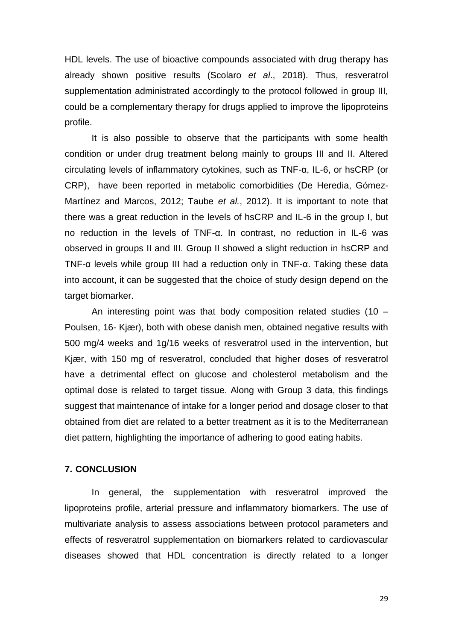HDL levels. The use of bioactive compounds associated with drug therapy has already shown positive results (Scolaro *et al*., 2018). Thus, resveratrol supplementation administrated accordingly to the protocol followed in group III, could be a complementary therapy for drugs applied to improve the lipoproteins profile.

It is also possible to observe that the participants with some health condition or under drug treatment belong mainly to groups III and II. Altered circulating levels of inflammatory cytokines, such as TNF-α, IL-6, or hsCRP (or CRP), have been reported in metabolic comorbidities (De Heredia, Gómez-Martínez and Marcos, 2012; Taube *et al.*, 2012). It is important to note that there was a great reduction in the levels of hsCRP and IL-6 in the group I, but no reduction in the levels of TNF-α. In contrast, no reduction in IL-6 was observed in groups II and III. Group II showed a slight reduction in hsCRP and TNF-α levels while group III had a reduction only in TNF-α. Taking these data into account, it can be suggested that the choice of study design depend on the target biomarker.

An interesting point was that body composition related studies (10 – Poulsen, 16- Kjær), both with obese danish men, obtained negative results with 500 mg/4 weeks and 1g/16 weeks of resveratrol used in the intervention, but Kjær, with 150 mg of resveratrol, concluded that higher doses of resveratrol have a detrimental effect on glucose and cholesterol metabolism and the optimal dose is related to target tissue. Along with Group 3 data, this findings suggest that maintenance of intake for a longer period and dosage closer to that obtained from diet are related to a better treatment as it is to the Mediterranean diet pattern, highlighting the importance of adhering to good eating habits.

#### <span id="page-31-0"></span>**7. CONCLUSION**

In general, the supplementation with resveratrol improved the lipoproteins profile, arterial pressure and inflammatory biomarkers. The use of multivariate analysis to assess associations between protocol parameters and effects of resveratrol supplementation on biomarkers related to cardiovascular diseases showed that HDL concentration is directly related to a longer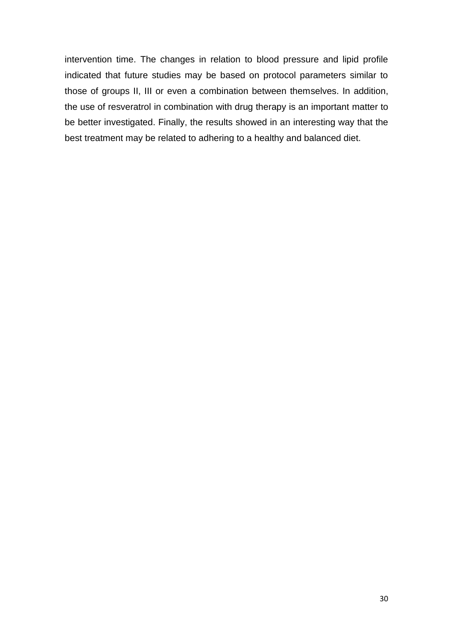intervention time. The changes in relation to blood pressure and lipid profile indicated that future studies may be based on protocol parameters similar to those of groups II, III or even a combination between themselves. In addition, the use of resveratrol in combination with drug therapy is an important matter to be better investigated. Finally, the results showed in an interesting way that the best treatment may be related to adhering to a healthy and balanced diet.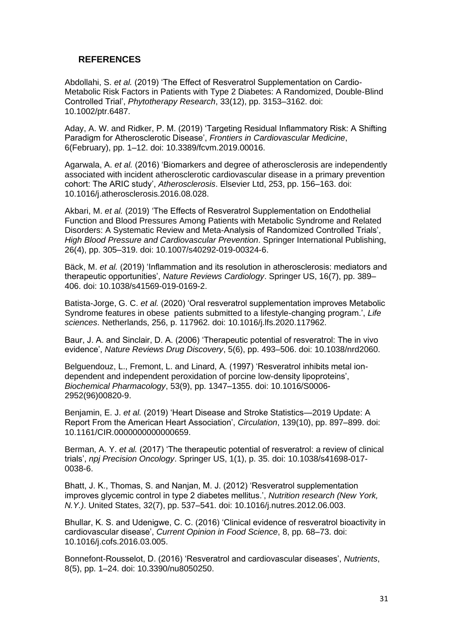## <span id="page-33-0"></span>**REFERENCES**

Abdollahi, S. *et al.* (2019) 'The Effect of Resveratrol Supplementation on Cardio-Metabolic Risk Factors in Patients with Type 2 Diabetes: A Randomized, Double-Blind Controlled Trial', *Phytotherapy Research*, 33(12), pp. 3153–3162. doi: 10.1002/ptr.6487.

Aday, A. W. and Ridker, P. M. (2019) 'Targeting Residual Inflammatory Risk: A Shifting Paradigm for Atherosclerotic Disease', *Frontiers in Cardiovascular Medicine*, 6(February), pp. 1–12. doi: 10.3389/fcvm.2019.00016.

Agarwala, A. *et al.* (2016) 'Biomarkers and degree of atherosclerosis are independently associated with incident atherosclerotic cardiovascular disease in a primary prevention cohort: The ARIC study', *Atherosclerosis*. Elsevier Ltd, 253, pp. 156–163. doi: 10.1016/j.atherosclerosis.2016.08.028.

Akbari, M. *et al.* (2019) 'The Effects of Resveratrol Supplementation on Endothelial Function and Blood Pressures Among Patients with Metabolic Syndrome and Related Disorders: A Systematic Review and Meta-Analysis of Randomized Controlled Trials', *High Blood Pressure and Cardiovascular Prevention*. Springer International Publishing, 26(4), pp. 305–319. doi: 10.1007/s40292-019-00324-6.

Bäck, M. *et al.* (2019) 'Inflammation and its resolution in atherosclerosis: mediators and therapeutic opportunities', *Nature Reviews Cardiology*. Springer US, 16(7), pp. 389– 406. doi: 10.1038/s41569-019-0169-2.

Batista-Jorge, G. C. *et al.* (2020) 'Oral resveratrol supplementation improves Metabolic Syndrome features in obese patients submitted to a lifestyle-changing program.', *Life sciences*. Netherlands, 256, p. 117962. doi: 10.1016/j.lfs.2020.117962.

Baur, J. A. and Sinclair, D. A. (2006) 'Therapeutic potential of resveratrol: The in vivo evidence', *Nature Reviews Drug Discovery*, 5(6), pp. 493–506. doi: 10.1038/nrd2060.

Belguendouz, L., Fremont, L. and Linard, A. (1997) 'Resveratrol inhibits metal iondependent and independent peroxidation of porcine low-density lipoproteins', *Biochemical Pharmacology*, 53(9), pp. 1347–1355. doi: 10.1016/S0006- 2952(96)00820-9.

Benjamin, E. J. *et al.* (2019) 'Heart Disease and Stroke Statistics—2019 Update: A Report From the American Heart Association', *Circulation*, 139(10), pp. 897–899. doi: 10.1161/CIR.0000000000000659.

Berman, A. Y. *et al.* (2017) 'The therapeutic potential of resveratrol: a review of clinical trials', *npj Precision Oncology*. Springer US, 1(1), p. 35. doi: 10.1038/s41698-017- 0038-6.

Bhatt, J. K., Thomas, S. and Nanjan, M. J. (2012) 'Resveratrol supplementation improves glycemic control in type 2 diabetes mellitus.', *Nutrition research (New York, N.Y.)*. United States, 32(7), pp. 537–541. doi: 10.1016/j.nutres.2012.06.003.

Bhullar, K. S. and Udenigwe, C. C. (2016) 'Clinical evidence of resveratrol bioactivity in cardiovascular disease', *Current Opinion in Food Science*, 8, pp. 68–73. doi: 10.1016/j.cofs.2016.03.005.

Bonnefont-Rousselot, D. (2016) 'Resveratrol and cardiovascular diseases', *Nutrients*, 8(5), pp. 1–24. doi: 10.3390/nu8050250.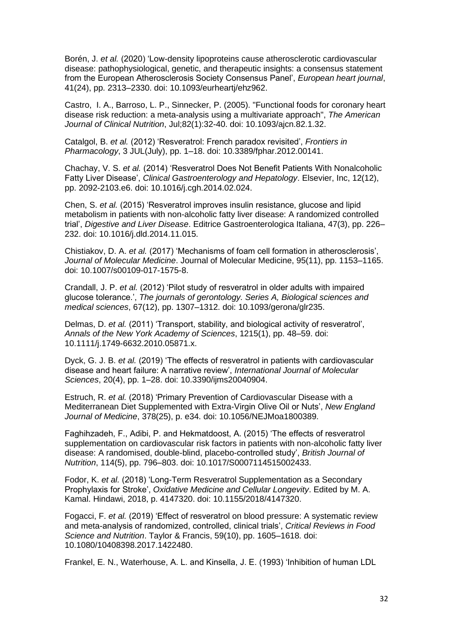Borén, J. *et al.* (2020) 'Low-density lipoproteins cause atherosclerotic cardiovascular disease: pathophysiological, genetic, and therapeutic insights: a consensus statement from the European Atherosclerosis Society Consensus Panel', *European heart journal*, 41(24), pp. 2313–2330. doi: 10.1093/eurheartj/ehz962.

Castro, I. A., Barroso, L. P., Sinnecker, P. (2005). "Functional foods for coronary heart disease risk reduction: a meta-analysis using a multivariate approach", *The American Journal of Clinical Nutrition*, Jul;82(1):32-40. doi: 10.1093/ajcn.82.1.32.

Catalgol, B. *et al.* (2012) 'Resveratrol: French paradox revisited', *Frontiers in Pharmacology*, 3 JUL(July), pp. 1–18. doi: 10.3389/fphar.2012.00141.

Chachay, V. S. *et al.* (2014) 'Resveratrol Does Not Benefit Patients With Nonalcoholic Fatty Liver Disease', *Clinical Gastroenterology and Hepatology*. Elsevier, Inc, 12(12), pp. 2092-2103.e6. doi: 10.1016/j.cgh.2014.02.024.

Chen, S. *et al.* (2015) 'Resveratrol improves insulin resistance, glucose and lipid metabolism in patients with non-alcoholic fatty liver disease: A randomized controlled trial', *Digestive and Liver Disease*. Editrice Gastroenterologica Italiana, 47(3), pp. 226– 232. doi: 10.1016/j.dld.2014.11.015.

Chistiakov, D. A. *et al.* (2017) 'Mechanisms of foam cell formation in atherosclerosis', *Journal of Molecular Medicine*. Journal of Molecular Medicine, 95(11), pp. 1153–1165. doi: 10.1007/s00109-017-1575-8.

Crandall, J. P. *et al.* (2012) 'Pilot study of resveratrol in older adults with impaired glucose tolerance.', *The journals of gerontology. Series A, Biological sciences and medical sciences*, 67(12), pp. 1307–1312. doi: 10.1093/gerona/glr235.

Delmas, D. *et al.* (2011) 'Transport, stability, and biological activity of resveratrol', *Annals of the New York Academy of Sciences*, 1215(1), pp. 48–59. doi: 10.1111/j.1749-6632.2010.05871.x.

Dyck, G. J. B. *et al.* (2019) 'The effects of resveratrol in patients with cardiovascular disease and heart failure: A narrative review', *International Journal of Molecular Sciences*, 20(4), pp. 1–28. doi: 10.3390/ijms20040904.

Estruch, R. *et al.* (2018) 'Primary Prevention of Cardiovascular Disease with a Mediterranean Diet Supplemented with Extra-Virgin Olive Oil or Nuts', *New England Journal of Medicine*, 378(25), p. e34. doi: 10.1056/NEJMoa1800389.

Faghihzadeh, F., Adibi, P. and Hekmatdoost, A. (2015) 'The effects of resveratrol supplementation on cardiovascular risk factors in patients with non-alcoholic fatty liver disease: A randomised, double-blind, placebo-controlled study', *British Journal of Nutrition*, 114(5), pp. 796–803. doi: 10.1017/S0007114515002433.

Fodor, K. *et al.* (2018) 'Long-Term Resveratrol Supplementation as a Secondary Prophylaxis for Stroke', *Oxidative Medicine and Cellular Longevity*. Edited by M. A. Kamal. Hindawi, 2018, p. 4147320. doi: 10.1155/2018/4147320.

Fogacci, F. *et al.* (2019) 'Effect of resveratrol on blood pressure: A systematic review and meta-analysis of randomized, controlled, clinical trials', *Critical Reviews in Food Science and Nutrition*. Taylor & Francis, 59(10), pp. 1605–1618. doi: 10.1080/10408398.2017.1422480.

Frankel, E. N., Waterhouse, A. L. and Kinsella, J. E. (1993) 'Inhibition of human LDL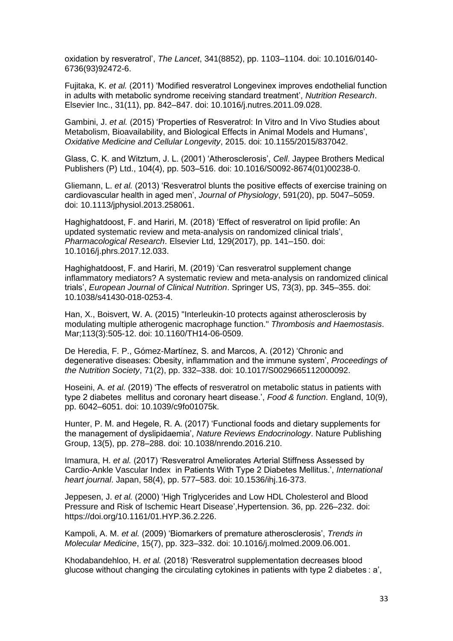oxidation by resveratrol', *The Lancet*, 341(8852), pp. 1103–1104. doi: 10.1016/0140- 6736(93)92472-6.

Fujitaka, K. *et al.* (2011) 'Modified resveratrol Longevinex improves endothelial function in adults with metabolic syndrome receiving standard treatment', *Nutrition Research*. Elsevier Inc., 31(11), pp. 842–847. doi: 10.1016/j.nutres.2011.09.028.

Gambini, J. *et al.* (2015) 'Properties of Resveratrol: In Vitro and In Vivo Studies about Metabolism, Bioavailability, and Biological Effects in Animal Models and Humans', *Oxidative Medicine and Cellular Longevity*, 2015. doi: 10.1155/2015/837042.

Glass, C. K. and Witztum, J. L. (2001) 'Atherosclerosis', *Cell*. Jaypee Brothers Medical Publishers (P) Ltd., 104(4), pp. 503–516. doi: 10.1016/S0092-8674(01)00238-0.

Gliemann, L. *et al.* (2013) 'Resveratrol blunts the positive effects of exercise training on cardiovascular health in aged men', *Journal of Physiology*, 591(20), pp. 5047–5059. doi: 10.1113/jphysiol.2013.258061.

Haghighatdoost, F. and Hariri, M. (2018) 'Effect of resveratrol on lipid profile: An updated systematic review and meta-analysis on randomized clinical trials', *Pharmacological Research*. Elsevier Ltd, 129(2017), pp. 141–150. doi: 10.1016/j.phrs.2017.12.033.

Haghighatdoost, F. and Hariri, M. (2019) 'Can resveratrol supplement change inflammatory mediators? A systematic review and meta-analysis on randomized clinical trials', *European Journal of Clinical Nutrition*. Springer US, 73(3), pp. 345–355. doi: 10.1038/s41430-018-0253-4.

Han, X., Boisvert, W. A. (2015) "Interleukin-10 protects against atherosclerosis by modulating multiple atherogenic macrophage function." *Thrombosis and Haemostasis*. Mar;113(3):505-12. doi: 10.1160/TH14-06-0509.

De Heredia, F. P., Gómez-Martínez, S. and Marcos, A. (2012) 'Chronic and degenerative diseases: Obesity, inflammation and the immune system', *Proceedings of the Nutrition Society*, 71(2), pp. 332–338. doi: 10.1017/S0029665112000092.

Hoseini, A. *et al.* (2019) 'The effects of resveratrol on metabolic status in patients with type 2 diabetes mellitus and coronary heart disease.', *Food & function*. England, 10(9), pp. 6042–6051. doi: 10.1039/c9fo01075k.

Hunter, P. M. and Hegele, R. A. (2017) 'Functional foods and dietary supplements for the management of dyslipidaemia', *Nature Reviews Endocrinology*. Nature Publishing Group, 13(5), pp. 278–288. doi: 10.1038/nrendo.2016.210.

Imamura, H. *et al.* (2017) 'Resveratrol Ameliorates Arterial Stiffness Assessed by Cardio-Ankle Vascular Index in Patients With Type 2 Diabetes Mellitus.', *International heart journal*. Japan, 58(4), pp. 577–583. doi: 10.1536/ihj.16-373.

Jeppesen, J. *et al.* (2000) 'High Triglycerides and Low HDL Cholesterol and Blood Pressure and Risk of Ischemic Heart Disease',Hypertension. 36, pp. 226–232. doi: https://doi.org/10.1161/01.HYP.36.2.226.

Kampoli, A. M. *et al.* (2009) 'Biomarkers of premature atherosclerosis', *Trends in Molecular Medicine*, 15(7), pp. 323–332. doi: 10.1016/j.molmed.2009.06.001.

Khodabandehloo, H. *et al.* (2018) 'Resveratrol supplementation decreases blood glucose without changing the circulating cytokines in patients with type 2 diabetes : a',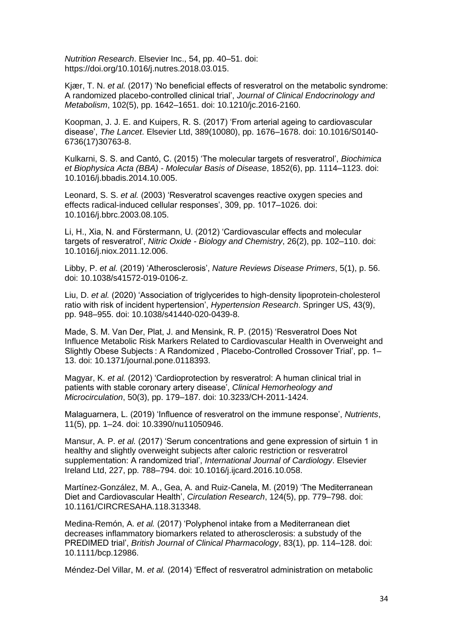*Nutrition Research*. Elsevier Inc., 54, pp. 40–51. doi: https://doi.org/10.1016/j.nutres.2018.03.015.

Kjær, T. N. *et al.* (2017) 'No beneficial effects of resveratrol on the metabolic syndrome: A randomized placebo-controlled clinical trial', *Journal of Clinical Endocrinology and Metabolism*, 102(5), pp. 1642–1651. doi: 10.1210/jc.2016-2160.

Koopman, J. J. E. and Kuipers, R. S. (2017) 'From arterial ageing to cardiovascular disease', *The Lancet*. Elsevier Ltd, 389(10080), pp. 1676–1678. doi: 10.1016/S0140- 6736(17)30763-8.

Kulkarni, S. S. and Cantó, C. (2015) 'The molecular targets of resveratrol', *Biochimica et Biophysica Acta (BBA) - Molecular Basis of Disease*, 1852(6), pp. 1114–1123. doi: 10.1016/j.bbadis.2014.10.005.

Leonard, S. S. *et al.* (2003) 'Resveratrol scavenges reactive oxygen species and effects radical-induced cellular responses', 309, pp. 1017–1026. doi: 10.1016/j.bbrc.2003.08.105.

Li, H., Xia, N. and Förstermann, U. (2012) 'Cardiovascular effects and molecular targets of resveratrol', *Nitric Oxide - Biology and Chemistry*, 26(2), pp. 102–110. doi: 10.1016/j.niox.2011.12.006.

Libby, P. *et al.* (2019) 'Atherosclerosis', *Nature Reviews Disease Primers*, 5(1), p. 56. doi: 10.1038/s41572-019-0106-z.

Liu, D. *et al.* (2020) 'Association of triglycerides to high-density lipoprotein-cholesterol ratio with risk of incident hypertension', *Hypertension Research*. Springer US, 43(9), pp. 948–955. doi: 10.1038/s41440-020-0439-8.

Made, S. M. Van Der, Plat, J. and Mensink, R. P. (2015) 'Resveratrol Does Not Influence Metabolic Risk Markers Related to Cardiovascular Health in Overweight and Slightly Obese Subjects : A Randomized , Placebo-Controlled Crossover Trial', pp. 1– 13. doi: 10.1371/journal.pone.0118393.

Magyar, K. *et al.* (2012) 'Cardioprotection by resveratrol: A human clinical trial in patients with stable coronary artery disease', *Clinical Hemorheology and Microcirculation*, 50(3), pp. 179–187. doi: 10.3233/CH-2011-1424.

Malaguarnera, L. (2019) 'Influence of resveratrol on the immune response', *Nutrients*, 11(5), pp. 1–24. doi: 10.3390/nu11050946.

Mansur, A. P. *et al.* (2017) 'Serum concentrations and gene expression of sirtuin 1 in healthy and slightly overweight subjects after caloric restriction or resveratrol supplementation: A randomized trial', *International Journal of Cardiology*. Elsevier Ireland Ltd, 227, pp. 788–794. doi: 10.1016/j.ijcard.2016.10.058.

Martínez-González, M. A., Gea, A. and Ruiz-Canela, M. (2019) 'The Mediterranean Diet and Cardiovascular Health', *Circulation Research*, 124(5), pp. 779–798. doi: 10.1161/CIRCRESAHA.118.313348.

Medina-Remón, A. *et al.* (2017) 'Polyphenol intake from a Mediterranean diet decreases inflammatory biomarkers related to atherosclerosis: a substudy of the PREDIMED trial', *British Journal of Clinical Pharmacology*, 83(1), pp. 114–128. doi: 10.1111/bcp.12986.

Méndez-Del Villar, M. *et al.* (2014) 'Effect of resveratrol administration on metabolic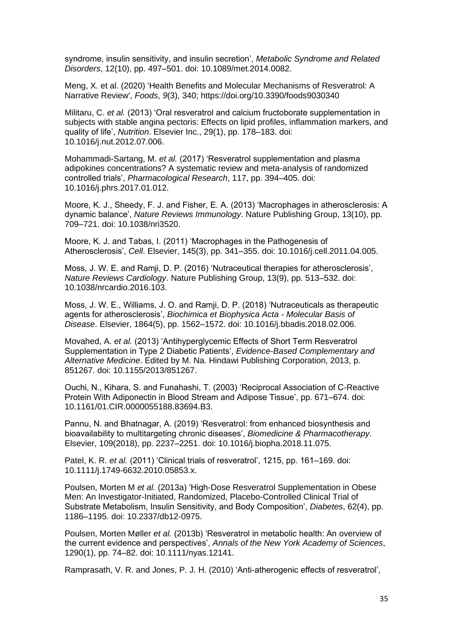syndrome, insulin sensitivity, and insulin secretion', *Metabolic Syndrome and Related Disorders*, 12(10), pp. 497–501. doi: 10.1089/met.2014.0082.

Meng, X. et al. (2020) 'Health Benefits and Molecular Mechanisms of Resveratrol: A Narrative Review', *Foods*, *9*(3), 340; https://doi.org/10.3390/foods9030340

Militaru, C. *et al.* (2013) 'Oral resveratrol and calcium fructoborate supplementation in subjects with stable angina pectoris: Effects on lipid profiles, inflammation markers, and quality of life', *Nutrition*. Elsevier Inc., 29(1), pp. 178–183. doi: 10.1016/j.nut.2012.07.006.

Mohammadi-Sartang, M. *et al.* (2017) 'Resveratrol supplementation and plasma adipokines concentrations? A systematic review and meta-analysis of randomized controlled trials', *Pharmacological Research*, 117, pp. 394–405. doi: 10.1016/j.phrs.2017.01.012.

Moore, K. J., Sheedy, F. J. and Fisher, E. A. (2013) 'Macrophages in atherosclerosis: A dynamic balance', *Nature Reviews Immunology*. Nature Publishing Group, 13(10), pp. 709–721. doi: 10.1038/nri3520.

Moore, K. J. and Tabas, I. (2011) 'Macrophages in the Pathogenesis of Atherosclerosis', *Cell*. Elsevier, 145(3), pp. 341–355. doi: 10.1016/j.cell.2011.04.005.

Moss, J. W. E. and Ramji, D. P. (2016) 'Nutraceutical therapies for atherosclerosis', *Nature Reviews Cardiology*. Nature Publishing Group, 13(9), pp. 513–532. doi: 10.1038/nrcardio.2016.103.

Moss, J. W. E., Williams, J. O. and Ramji, D. P. (2018) 'Nutraceuticals as therapeutic agents for atherosclerosis', *Biochimica et Biophysica Acta - Molecular Basis of Disease*. Elsevier, 1864(5), pp. 1562–1572. doi: 10.1016/j.bbadis.2018.02.006.

Movahed, A. *et al.* (2013) 'Antihyperglycemic Effects of Short Term Resveratrol Supplementation in Type 2 Diabetic Patients', *Evidence-Based Complementary and Alternative Medicine*. Edited by M. Na. Hindawi Publishing Corporation, 2013, p. 851267. doi: 10.1155/2013/851267.

Ouchi, N., Kihara, S. and Funahashi, T. (2003) 'Reciprocal Association of C-Reactive Protein With Adiponectin in Blood Stream and Adipose Tissue', pp. 671–674. doi: 10.1161/01.CIR.0000055188.83694.B3.

Pannu, N. and Bhatnagar, A. (2019) 'Resveratrol: from enhanced biosynthesis and bioavailability to multitargeting chronic diseases', *Biomedicine & Pharmacotherapy*. Elsevier, 109(2018), pp. 2237–2251. doi: 10.1016/j.biopha.2018.11.075.

Patel, K. R. *et al.* (2011) 'Clinical trials of resveratrol', 1215, pp. 161-169. doi: 10.1111/j.1749-6632.2010.05853.x.

Poulsen, Morten M *et al.* (2013a) 'High-Dose Resveratrol Supplementation in Obese Men: An Investigator-Initiated, Randomized, Placebo-Controlled Clinical Trial of Substrate Metabolism, Insulin Sensitivity, and Body Composition', *Diabetes*, 62(4), pp. 1186–1195. doi: 10.2337/db12-0975.

Poulsen, Morten Møller *et al.* (2013b) 'Resveratrol in metabolic health: An overview of the current evidence and perspectives', *Annals of the New York Academy of Sciences*, 1290(1), pp. 74–82. doi: 10.1111/nyas.12141.

Ramprasath, V. R. and Jones, P. J. H. (2010) 'Anti-atherogenic effects of resveratrol',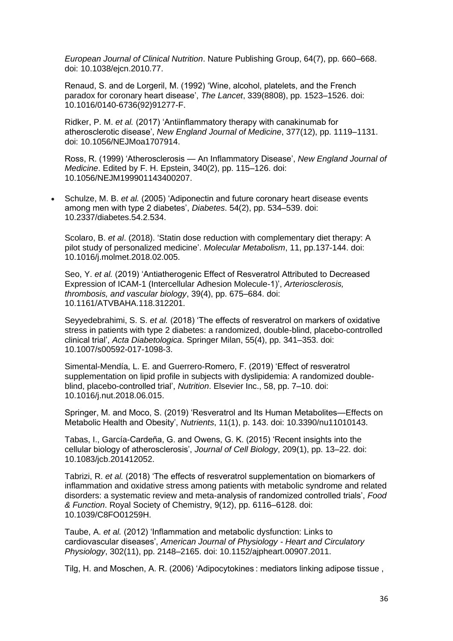*European Journal of Clinical Nutrition*. Nature Publishing Group, 64(7), pp. 660–668. doi: 10.1038/ejcn.2010.77.

Renaud, S. and de Lorgeril, M. (1992) 'Wine, alcohol, platelets, and the French paradox for coronary heart disease', *The Lancet*, 339(8808), pp. 1523–1526. doi: 10.1016/0140-6736(92)91277-F.

Ridker, P. M. *et al.* (2017) 'Antiinflammatory therapy with canakinumab for atherosclerotic disease', *New England Journal of Medicine*, 377(12), pp. 1119–1131. doi: 10.1056/NEJMoa1707914.

Ross, R. (1999) 'Atherosclerosis — An Inflammatory Disease', *New England Journal of Medicine*. Edited by F. H. Epstein, 340(2), pp. 115–126. doi: 10.1056/NEJM199901143400207.

• Schulze, M. B. *et al.* (2005) 'Adiponectin and future coronary heart disease events among men with type 2 diabetes', *Diabetes*. 54(2), pp. 534–539. doi: 10.2337/diabetes.54.2.534.

Scolaro, B. *et al*. (2018). 'Statin dose reduction with complementary diet therapy: A pilot study of personalized medicine'. *Molecular Metabolism*, 11, pp.137-144. doi: 10.1016/j.molmet.2018.02.005.

Seo, Y. *et al.* (2019) 'Antiatherogenic Effect of Resveratrol Attributed to Decreased Expression of ICAM-1 (Intercellular Adhesion Molecule-1)', *Arteriosclerosis, thrombosis, and vascular biology*, 39(4), pp. 675–684. doi: 10.1161/ATVBAHA.118.312201.

Seyyedebrahimi, S. S. *et al.* (2018) 'The effects of resveratrol on markers of oxidative stress in patients with type 2 diabetes: a randomized, double-blind, placebo-controlled clinical trial', *Acta Diabetologica*. Springer Milan, 55(4), pp. 341–353. doi: 10.1007/s00592-017-1098-3.

Simental-Mendía, L. E. and Guerrero-Romero, F. (2019) 'Effect of resveratrol supplementation on lipid profile in subjects with dyslipidemia: A randomized doubleblind, placebo-controlled trial', *Nutrition*. Elsevier Inc., 58, pp. 7–10. doi: 10.1016/j.nut.2018.06.015.

Springer, M. and Moco, S. (2019) 'Resveratrol and Its Human Metabolites—Effects on Metabolic Health and Obesity', *Nutrients*, 11(1), p. 143. doi: 10.3390/nu11010143.

Tabas, I., García-Cardeña, G. and Owens, G. K. (2015) 'Recent insights into the cellular biology of atherosclerosis', *Journal of Cell Biology*, 209(1), pp. 13–22. doi: 10.1083/jcb.201412052.

Tabrizi, R. *et al.* (2018) 'The effects of resveratrol supplementation on biomarkers of inflammation and oxidative stress among patients with metabolic syndrome and related disorders: a systematic review and meta-analysis of randomized controlled trials', *Food & Function*. Royal Society of Chemistry, 9(12), pp. 6116–6128. doi: 10.1039/C8FO01259H.

Taube, A. *et al.* (2012) 'Inflammation and metabolic dysfunction: Links to cardiovascular diseases', *American Journal of Physiology - Heart and Circulatory Physiology*, 302(11), pp. 2148–2165. doi: 10.1152/ajpheart.00907.2011.

Tilg, H. and Moschen, A. R. (2006) 'Adipocytokines : mediators linking adipose tissue ,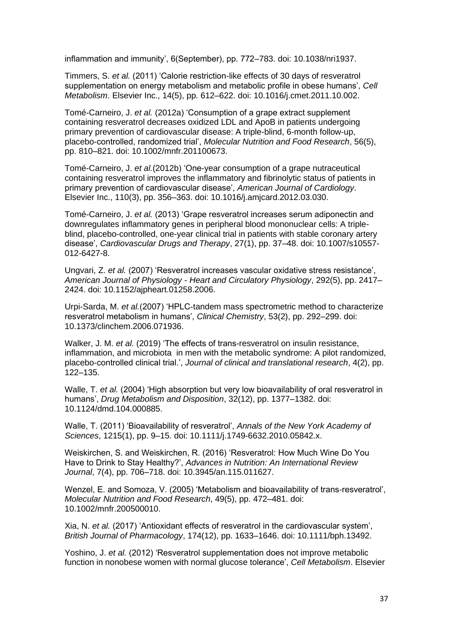inflammation and immunity', 6(September), pp. 772–783. doi: 10.1038/nri1937.

Timmers, S. *et al.* (2011) 'Calorie restriction-like effects of 30 days of resveratrol supplementation on energy metabolism and metabolic profile in obese humans', *Cell Metabolism*. Elsevier Inc., 14(5), pp. 612–622. doi: 10.1016/j.cmet.2011.10.002.

Tomé-Carneiro, J. *et al.* (2012a) 'Consumption of a grape extract supplement containing resveratrol decreases oxidized LDL and ApoB in patients undergoing primary prevention of cardiovascular disease: A triple-blind, 6-month follow-up, placebo-controlled, randomized trial', *Molecular Nutrition and Food Research*, 56(5), pp. 810–821. doi: 10.1002/mnfr.201100673.

Tomé-Carneiro, J. *et al.*(2012b) 'One-year consumption of a grape nutraceutical containing resveratrol improves the inflammatory and fibrinolytic status of patients in primary prevention of cardiovascular disease', *American Journal of Cardiology*. Elsevier Inc., 110(3), pp. 356–363. doi: 10.1016/j.amjcard.2012.03.030.

Tomé-Carneiro, J. *et al.* (2013) 'Grape resveratrol increases serum adiponectin and downregulates inflammatory genes in peripheral blood mononuclear cells: A tripleblind, placebo-controlled, one-year clinical trial in patients with stable coronary artery disease', *Cardiovascular Drugs and Therapy*, 27(1), pp. 37–48. doi: 10.1007/s10557- 012-6427-8.

Ungvari, Z. *et al.* (2007) 'Resveratrol increases vascular oxidative stress resistance', *American Journal of Physiology - Heart and Circulatory Physiology*, 292(5), pp. 2417– 2424. doi: 10.1152/ajpheart.01258.2006.

Urpi-Sarda, M. *et al.*(2007) 'HPLC-tandem mass spectrometric method to characterize resveratrol metabolism in humans', *Clinical Chemistry*, 53(2), pp. 292–299. doi: 10.1373/clinchem.2006.071936.

Walker, J. M. *et al.* (2019) 'The effects of trans-resveratrol on insulin resistance, inflammation, and microbiota in men with the metabolic syndrome: A pilot randomized, placebo-controlled clinical trial.', *Journal of clinical and translational research*, 4(2), pp. 122–135.

Walle, T. *et al.* (2004) 'High absorption but very low bioavailability of oral resveratrol in humans', *Drug Metabolism and Disposition*, 32(12), pp. 1377–1382. doi: 10.1124/dmd.104.000885.

Walle, T. (2011) 'Bioavailability of resveratrol', *Annals of the New York Academy of Sciences*, 1215(1), pp. 9–15. doi: 10.1111/j.1749-6632.2010.05842.x.

Weiskirchen, S. and Weiskirchen, R. (2016) 'Resveratrol: How Much Wine Do You Have to Drink to Stay Healthy?', *Advances in Nutrition: An International Review Journal*, 7(4), pp. 706–718. doi: 10.3945/an.115.011627.

Wenzel, E. and Somoza, V. (2005) 'Metabolism and bioavailability of trans-resveratrol', *Molecular Nutrition and Food Research*, 49(5), pp. 472–481. doi: 10.1002/mnfr.200500010.

Xia, N. *et al.* (2017) 'Antioxidant effects of resveratrol in the cardiovascular system', *British Journal of Pharmacology*, 174(12), pp. 1633–1646. doi: 10.1111/bph.13492.

Yoshino, J. *et al.* (2012) 'Resveratrol supplementation does not improve metabolic function in nonobese women with normal glucose tolerance', *Cell Metabolism*. Elsevier